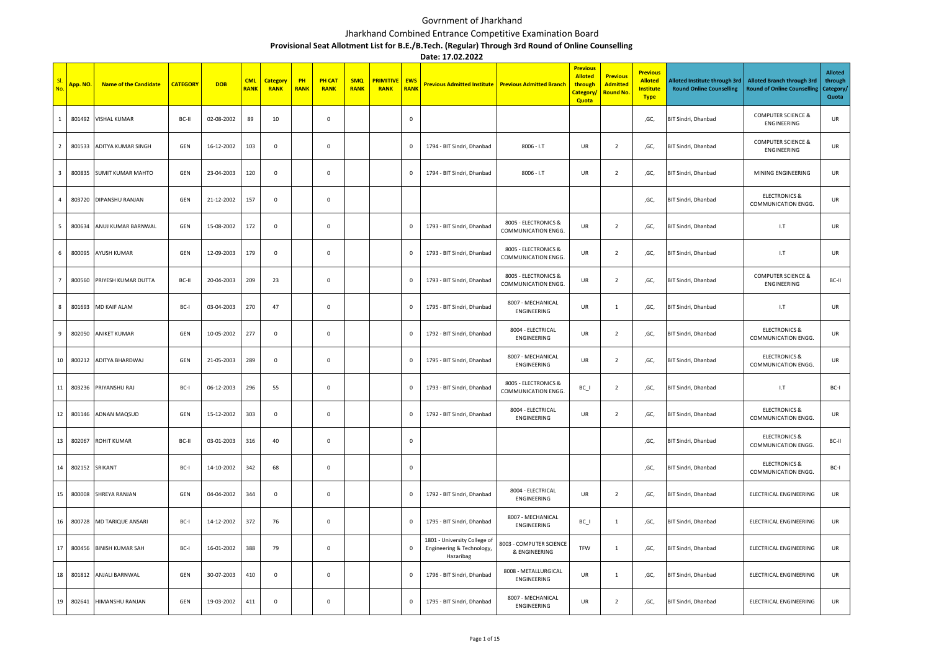## Govrnment of Jharkhand

## Jharkhand Combined Entrance Competitive Examination Board

**Provisional Seat Allotment List for B.E./B.Tech. (Regular) Through 3rd Round of Online Counselling**

**Date: 17.02.2022**

| No.                     | App. NO. | <b>Name of the Candidate</b> | <b>CATEGORY</b> | <b>DOB</b> | <b>CML</b><br><b>RANK</b> | <b>Category</b><br><b>RANK</b> | PH<br><b>RANK</b> | <b>PH CAT</b><br><b>RANK</b> | <b>SMQ</b><br><b>RANK</b> | <b>PRIMITIVE</b><br><b>RANK</b> | <b>EWS</b><br>RANK |                                                                        | Previous Admitted Institute Previous Admitted Branch | <b>Previous</b><br><b>Alloted</b><br>through<br>Category/<br><b>Quota</b> | <b>Previous</b><br><b>Admitted</b><br><b>Round No</b> | <b>Previous</b><br><b>Alloted</b><br><b>Institute</b><br><b>Type</b> | Alloted Institute through 3rd<br><b>Round Online Counselling</b> | <b>Alloted Branch through 3rd</b><br><b>Round of Online Counselling</b> | <b>Alloted</b><br>through<br>Category/<br>Quota |
|-------------------------|----------|------------------------------|-----------------|------------|---------------------------|--------------------------------|-------------------|------------------------------|---------------------------|---------------------------------|--------------------|------------------------------------------------------------------------|------------------------------------------------------|---------------------------------------------------------------------------|-------------------------------------------------------|----------------------------------------------------------------------|------------------------------------------------------------------|-------------------------------------------------------------------------|-------------------------------------------------|
| $\mathbf{1}$            | 801492   | VISHAL KUMAR                 | BC-II           | 02-08-2002 | 89                        | 10                             |                   | $\mathbf 0$                  |                           |                                 | $\mathbf 0$        |                                                                        |                                                      |                                                                           |                                                       | ,GC,                                                                 | BIT Sindri, Dhanbad                                              | <b>COMPUTER SCIENCE &amp;</b><br>ENGINEERING                            | UR                                              |
| $\overline{2}$          | 801533   | ADITYA KUMAR SINGH           | GEN             | 16-12-2002 | 103                       | $\,0\,$                        |                   | $\mathbf 0$                  |                           |                                 | $\mathbf 0$        | 1794 - BIT Sindri, Dhanbad                                             | $8006 - I.T$                                         | UR                                                                        | $\overline{2}$                                        | ,GC,                                                                 | BIT Sindri, Dhanbad                                              | <b>COMPUTER SCIENCE &amp;</b><br>ENGINEERING                            | UR                                              |
| $\overline{\mathbf{3}}$ | 800835   | <b>SUMIT KUMAR MAHTO</b>     | GEN             | 23-04-2003 | 120                       | $\mathsf 0$                    |                   | $\mathsf 0$                  |                           |                                 | $\mathsf 0$        | 1794 - BIT Sindri, Dhanbad                                             | $8006 - I.T$                                         | UR                                                                        | $\overline{2}$                                        | ,GC,                                                                 | BIT Sindri, Dhanbad                                              | MINING ENGINEERING                                                      | UR                                              |
| $\overline{a}$          | 803720   | DIPANSHU RANJAN              | GEN             | 21-12-2002 | 157                       | $\mathsf 0$                    |                   | $\mathbf 0$                  |                           |                                 |                    |                                                                        |                                                      |                                                                           |                                                       | ,GC,                                                                 | BIT Sindri, Dhanbad                                              | <b>ELECTRONICS &amp;</b><br>COMMUNICATION ENGG.                         | UR                                              |
| 5                       | 800634   | ANUJ KUMAR BARNWAL           | GEN             | 15-08-2002 | 172                       | $\mathsf 0$                    |                   | $\mathsf 0$                  |                           |                                 | $\mathbf 0$        | 1793 - BIT Sindri, Dhanbad                                             | 8005 - ELECTRONICS &<br>COMMUNICATION ENGG.          | UR                                                                        | $\overline{2}$                                        | ,GC,                                                                 | BIT Sindri, Dhanbad                                              | 1.7                                                                     | UR                                              |
| 6                       | 800095   | AYUSH KUMAR                  | GEN             | 12-09-2003 | 179                       | $\mathsf 0$                    |                   | $\mathsf 0$                  |                           |                                 | $\mathsf 0$        | 1793 - BIT Sindri, Dhanbad                                             | 8005 - ELECTRONICS &<br>COMMUNICATION ENGG.          | UR                                                                        | $\overline{2}$                                        | ,GC,                                                                 | BIT Sindri, Dhanbad                                              | 1.7                                                                     | UR                                              |
| $\overline{7}$          | 800560   | PRIYESH KUMAR DUTTA          | BC-II           | 20-04-2003 | 209                       | 23                             |                   | $\mathsf 0$                  |                           |                                 | $\mathbf 0$        | 1793 - BIT Sindri, Dhanbad                                             | 8005 - ELECTRONICS &<br>COMMUNICATION ENGG.          | UR                                                                        | $\overline{2}$                                        | ,GC,                                                                 | BIT Sindri, Dhanbad                                              | <b>COMPUTER SCIENCE &amp;</b><br>ENGINEERING                            | BC-II                                           |
| 8                       | 801693   | MD KAIF ALAM                 | BC-I            | 03-04-2003 | 270                       | 47                             |                   | $\mathbf 0$                  |                           |                                 | $\mathbf 0$        | 1795 - BIT Sindri, Dhanbad                                             | 8007 - MECHANICAL<br>ENGINEERING                     | UR                                                                        | $\mathbf{1}$                                          | ,GC,                                                                 | BIT Sindri, Dhanbad                                              | 1.7                                                                     | UR                                              |
| $\mathbf{q}$            | 802050   | ANIKET KUMAR                 | GEN             | 10-05-2002 | 277                       | $\mathsf 0$                    |                   | $\,0\,$                      |                           |                                 | $\mathbf 0$        | 1792 - BIT Sindri, Dhanbad                                             | 8004 - ELECTRICAL<br>ENGINEERING                     | UR                                                                        | $\overline{2}$                                        | ,GC,                                                                 | BIT Sindri, Dhanbad                                              | <b>ELECTRONICS &amp;</b><br>COMMUNICATION ENGG.                         | UR                                              |
| 10                      | 800212   | ADITYA BHARDWAJ              | GEN             | 21-05-2003 | 289                       | $\mathsf 0$                    |                   | $\mathsf 0$                  |                           |                                 | $\mathsf 0$        | 1795 - BIT Sindri, Dhanbad                                             | 8007 - MECHANICAL<br>ENGINEERING                     | UR                                                                        | $\overline{2}$                                        | ,GC,                                                                 | BIT Sindri, Dhanbad                                              | <b>ELECTRONICS &amp;</b><br>COMMUNICATION ENGG.                         | UR                                              |
| 11                      | 803236   | PRIYANSHU RAJ                | BC-I            | 06-12-2003 | 296                       | 55                             |                   | $\mathbf 0$                  |                           |                                 | $\mathsf 0$        | 1793 - BIT Sindri, Dhanbad                                             | 8005 - ELECTRONICS &<br>COMMUNICATION ENGG.          | BC_I                                                                      | $\overline{2}$                                        | ,GC,                                                                 | BIT Sindri, Dhanbad                                              | 1.7                                                                     | BC-I                                            |
| 12                      | 801146   | ADNAN MAQSUD                 | GEN             | 15-12-2002 | 303                       | $\mathsf 0$                    |                   | $\mathsf 0$                  |                           |                                 | $\mathbf 0$        | 1792 - BIT Sindri, Dhanbad                                             | 8004 - ELECTRICAL<br>ENGINEERING                     | UR                                                                        | $\overline{2}$                                        | ,GC,                                                                 | BIT Sindri, Dhanbad                                              | <b>ELECTRONICS &amp;</b><br>COMMUNICATION ENGG.                         | UR                                              |
| 13                      | 802067   | ROHIT KUMAR                  | BC-II           | 03-01-2003 | 316                       | 40                             |                   | $\mathbf 0$                  |                           |                                 | $\mathsf 0$        |                                                                        |                                                      |                                                                           |                                                       | ,GC,                                                                 | BIT Sindri, Dhanbad                                              | <b>ELECTRONICS &amp;</b><br>COMMUNICATION ENGG.                         | BC-II                                           |
| 14                      | 802152   | SRIKANT                      | BC-I            | 14-10-2002 | 342                       | 68                             |                   | $\mathsf 0$                  |                           |                                 | $\mathsf 0$        |                                                                        |                                                      |                                                                           |                                                       | ,GC,                                                                 | BIT Sindri, Dhanbad                                              | <b>ELECTRONICS &amp;</b><br>COMMUNICATION ENGG.                         | BC-I                                            |
| 15                      | 800008   | SHREYA RANJAN                | GEN             | 04-04-2002 | 344                       | $\mathsf 0$                    |                   | $\mathbf 0$                  |                           |                                 | $\mathbf 0$        | 1792 - BIT Sindri, Dhanbad                                             | 8004 - ELECTRICAL<br>ENGINEERING                     | UR                                                                        | $\overline{2}$                                        | ,GC,                                                                 | BIT Sindri, Dhanbad                                              | ELECTRICAL ENGINEERING                                                  | UR                                              |
| 16                      | 800728   | MD TARIQUE ANSARI            | BC-I            | 14-12-2002 | 372                       | 76                             |                   | $\mathbf 0$                  |                           |                                 | $\mathbf 0$        | 1795 - BIT Sindri, Dhanbad                                             | 8007 - MECHANICAL<br>ENGINEERING                     | $BC_$                                                                     | $\mathbf{1}$                                          | ,GC,                                                                 | BIT Sindri, Dhanbad                                              | ELECTRICAL ENGINEERING                                                  | UR                                              |
| 17                      | 800456   | <b>BINISH KUMAR SAH</b>      | BC-I            | 16-01-2002 | 388                       | 79                             |                   | $\mathsf 0$                  |                           |                                 | $\mathsf 0$        | 1801 - University College of<br>Engineering & Technology,<br>Hazaribag | <b>8003 - COMPUTER SCIENCE</b><br>& ENGINEERING      | TFW                                                                       | $\mathbf{1}$                                          | ,GC,                                                                 | BIT Sindri, Dhanbad                                              | <b>ELECTRICAL ENGINEERING</b>                                           | UR                                              |
| 18                      | 801812   | ANJALI BARNWAL               | GEN             | 30-07-2003 | 410                       | $\mathsf 0$                    |                   | $\mathbf 0$                  |                           |                                 | $\mathbf 0$        | 1796 - BIT Sindri, Dhanbad                                             | 8008 - METALLURGICAL<br>ENGINEERING                  | UR                                                                        | $\mathbf{1}$                                          | ,GC,                                                                 | BIT Sindri, Dhanbad                                              | ELECTRICAL ENGINEERING                                                  | UR                                              |
| 19                      | 802641   | HIMANSHU RANJAN              | GEN             | 19-03-2002 | 411                       | $\mathsf 0$                    |                   | $\mathsf 0$                  |                           |                                 | $\mathsf 0$        | 1795 - BIT Sindri, Dhanbad                                             | 8007 - MECHANICAL<br>ENGINEERING                     | UR                                                                        | $\overline{2}$                                        | ,GC,                                                                 | BIT Sindri, Dhanbad                                              | ELECTRICAL ENGINEERING                                                  | UR                                              |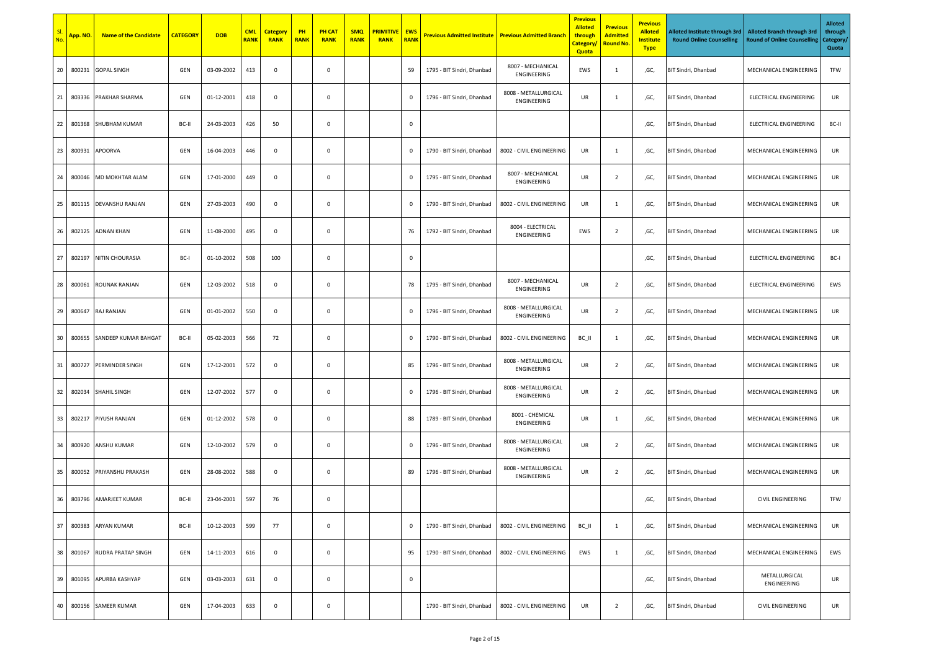| No | <mark>App. NO.</mark> | <b>Name of the Candidate</b> | <b>CATEGORY</b> | <b>DOB</b> | <b>CML</b><br><b>RANK</b> | <b>Category</b><br><b>RANK</b> | PH<br><b>RANK</b> | <b>PH CAT</b><br><b>RANK</b> | <b>SMQ</b><br><b>RANK</b> | <b>PRIMITIVE</b><br><b>RANK</b> | <b>EWS</b><br><b>RANK</b> | <b>Previous Admitted Institute</b> | <b>Previous Admitted Branch</b>     | <b>Previous</b><br><b>Alloted</b><br>through<br><b>Category</b><br><b>Quota</b> | <b>Previous</b><br><b>Admitted</b><br><b>Round No.</b> | <b>Previous</b><br><b>Alloted</b><br><b>Institute</b><br><b>Type</b> | Alloted Institute through 3rd<br><b>Round Online Counselling</b> | <b>Alloted Branch through 3rd</b><br><b>Round of Online Counselling</b> | <b>Alloted</b><br>through<br>Category/<br>Quota |
|----|-----------------------|------------------------------|-----------------|------------|---------------------------|--------------------------------|-------------------|------------------------------|---------------------------|---------------------------------|---------------------------|------------------------------------|-------------------------------------|---------------------------------------------------------------------------------|--------------------------------------------------------|----------------------------------------------------------------------|------------------------------------------------------------------|-------------------------------------------------------------------------|-------------------------------------------------|
| 20 | 800231                | <b>GOPAL SINGH</b>           | GEN             | 03-09-2002 | 413                       | $\mathbf 0$                    |                   | $\mathbf 0$                  |                           |                                 | 59                        | 1795 - BIT Sindri, Dhanbad         | 8007 - MECHANICAL<br>ENGINEERING    | EWS                                                                             | 1                                                      | ,GC,                                                                 | BIT Sindri, Dhanbad                                              | MECHANICAL ENGINEERING                                                  | TFW                                             |
| 21 | 803336                | PRAKHAR SHARMA               | GEN             | 01-12-2001 | 418                       | $\mathbf 0$                    |                   | $\mathbf 0$                  |                           |                                 | $\mathbf 0$               | 1796 - BIT Sindri, Dhanbad         | 8008 - METALLURGICAL<br>ENGINEERING | UR                                                                              | 1                                                      | ,GC,                                                                 | BIT Sindri, Dhanbad                                              | ELECTRICAL ENGINEERING                                                  | UR                                              |
| 22 | 801368                | <b>SHUBHAM KUMAR</b>         | BC-II           | 24-03-2003 | 426                       | 50                             |                   | $\mathbf 0$                  |                           |                                 | $\mathbf 0$               |                                    |                                     |                                                                                 |                                                        | ,GC,                                                                 | BIT Sindri, Dhanbad                                              | ELECTRICAL ENGINEERING                                                  | BC-II                                           |
| 23 | 800931                | APOORVA                      | GEN             | 16-04-2003 | 446                       | $\mathbf 0$                    |                   | $\mathbf 0$                  |                           |                                 | $\,0\,$                   | 1790 - BIT Sindri, Dhanbad         | 8002 - CIVIL ENGINEERING            | UR                                                                              | 1                                                      | ,GC,                                                                 | BIT Sindri, Dhanbad                                              | MECHANICAL ENGINEERING                                                  | UR                                              |
| 24 | 800046                | MD MOKHTAR ALAM              | GEN             | 17-01-2000 | 449                       | $\mathbf 0$                    |                   | $\mathbf 0$                  |                           |                                 | $\mathbf 0$               | 1795 - BIT Sindri, Dhanbad         | 8007 - MECHANICAL<br>ENGINEERING    | UR                                                                              | $\overline{2}$                                         | ,GC,                                                                 | BIT Sindri, Dhanbad                                              | MECHANICAL ENGINEERING                                                  | UR                                              |
| 25 | 801115                | DEVANSHU RANJAN              | GEN             | 27-03-2003 | 490                       | $\mathbf 0$                    |                   | $\mathbf 0$                  |                           |                                 | $\mathbf 0$               | 1790 - BIT Sindri, Dhanbad         | 8002 - CIVIL ENGINEERING            | UR                                                                              | 1                                                      | ,GC,                                                                 | BIT Sindri, Dhanbad                                              | MECHANICAL ENGINEERING                                                  | UR                                              |
| 26 | 802125                | <b>ADNAN KHAN</b>            | GEN             | 11-08-2000 | 495                       | $\mathbf 0$                    |                   | $\mathbf 0$                  |                           |                                 | 76                        | 1792 - BIT Sindri, Dhanbad         | 8004 - ELECTRICAL<br>ENGINEERING    | EWS                                                                             | $\overline{2}$                                         | ,GC,                                                                 | BIT Sindri, Dhanbad                                              | MECHANICAL ENGINEERING                                                  | UR                                              |
| 27 | 802197                | NITIN CHOURASIA              | BC-I            | 01-10-2002 | 508                       | 100                            |                   | $\mathbf 0$                  |                           |                                 | $\mathbf 0$               |                                    |                                     |                                                                                 |                                                        | ,GC,                                                                 | BIT Sindri, Dhanbad                                              | ELECTRICAL ENGINEERING                                                  | BC-I                                            |
| 28 | 800061                | ROUNAK RANJAN                | GEN             | 12-03-2002 | 518                       | $\mathsf 0$                    |                   | $\mathbf 0$                  |                           |                                 | 78                        | 1795 - BIT Sindri, Dhanbad         | 8007 - MECHANICAL<br>ENGINEERING    | UR                                                                              | $\overline{2}$                                         | ,GC,                                                                 | BIT Sindri, Dhanbad                                              | ELECTRICAL ENGINEERING                                                  | EWS                                             |
| 29 | 800647                | RAJ RANJAN                   | GEN             | 01-01-2002 | 550                       | $\mathsf 0$                    |                   | $\mathbf 0$                  |                           |                                 | $\,0\,$                   | 1796 - BIT Sindri, Dhanbad         | 8008 - METALLURGICAL<br>ENGINEERING | UR                                                                              | $\overline{2}$                                         | ,GC,                                                                 | BIT Sindri, Dhanbad                                              | MECHANICAL ENGINEERING                                                  | UR                                              |
| 30 | 800655                | SANDEEP KUMAR BAHGAT         | BC-II           | 05-02-2003 | 566                       | 72                             |                   | 0                            |                           |                                 | 0                         | 1790 - BIT Sindri, Dhanbad         | 8002 - CIVIL ENGINEERING            | BC_II                                                                           | $\mathbf{1}$                                           | ,GC,                                                                 | BIT Sindri, Dhanbad                                              | MECHANICAL ENGINEERING                                                  | UR                                              |
| 31 | 800727                | PERMINDER SINGH              | GEN             | 17-12-2001 | 572                       | $\mathbf 0$                    |                   | $\mathbf 0$                  |                           |                                 | 85                        | 1796 - BIT Sindri, Dhanbad         | 8008 - METALLURGICAL<br>ENGINEERING | UR                                                                              | $\overline{2}$                                         | ,GC,                                                                 | BIT Sindri, Dhanbad                                              | MECHANICAL ENGINEERING                                                  | UR                                              |
| 32 | 802034                | <b>SHAHIL SINGH</b>          | GEN             | 12-07-2002 | 577                       | $\mathbf 0$                    |                   | $\mathbf 0$                  |                           |                                 | $\mathbf 0$               | 1796 - BIT Sindri, Dhanbad         | 8008 - METALLURGICAL<br>ENGINEERING | UR                                                                              | $\overline{2}$                                         | ,GC,                                                                 | BIT Sindri, Dhanbad                                              | MECHANICAL ENGINEERING                                                  | UR                                              |
| 33 | 802217                | PIYUSH RANJAN                | GEN             | 01-12-2002 | 578                       | $\mathbf 0$                    |                   | $\mathbf 0$                  |                           |                                 | 88                        | 1789 - BIT Sindri, Dhanbad         | 8001 - CHEMICAL<br>ENGINEERING      | UR                                                                              | $\mathbf{1}$                                           | ,GC,                                                                 | BIT Sindri, Dhanbad                                              | MECHANICAL ENGINEERING                                                  | UR                                              |
| 34 | 800920                | ANSHU KUMAR                  | GEN             | 12-10-2002 | 579                       | $\mathbf 0$                    |                   | $\mathbf 0$                  |                           |                                 | $\mathbf 0$               | 1796 - BIT Sindri, Dhanbad         | 8008 - METALLURGICAL<br>ENGINEERING | UR                                                                              | $\overline{2}$                                         | ,GC,                                                                 | BIT Sindri, Dhanbad                                              | MECHANICAL ENGINEERING                                                  | UR                                              |
| 35 | 800052                | PRIYANSHU PRAKASH            | GEN             | 28-08-2002 | 588                       | $\mathbf 0$                    |                   | $\mathbf 0$                  |                           |                                 | 89                        | 1796 - BIT Sindri, Dhanbad         | 8008 - METALLURGICAL<br>ENGINEERING | UR                                                                              | $\overline{2}$                                         | ,GC,                                                                 | BIT Sindri, Dhanbad                                              | MECHANICAL ENGINEERING                                                  | UR                                              |
| 36 | 803796                | AMARJEET KUMAR               | BC-II           | 23-04-2001 | 597                       | 76                             |                   | $\mathbf 0$                  |                           |                                 |                           |                                    |                                     |                                                                                 |                                                        | ,GC,                                                                 | BIT Sindri, Dhanbad                                              | <b>CIVIL ENGINEERING</b>                                                | TFW                                             |
| 37 | 800383                | <b>ARYAN KUMAR</b>           | BC-II           | 10-12-2003 | 599                       | 77                             |                   | $\mathbf 0$                  |                           |                                 | $\mathbf 0$               | 1790 - BIT Sindri, Dhanbad         | 8002 - CIVIL ENGINEERING            | BC_II                                                                           | <sup>1</sup>                                           | ,GC,                                                                 | BIT Sindri, Dhanbad                                              | MECHANICAL ENGINEERING                                                  | UR                                              |
| 38 | 801067                | RUDRA PRATAP SINGH           | GEN             | 14-11-2003 | 616                       | $\mathbf 0$                    |                   | $\mathbf 0$                  |                           |                                 | 95                        | 1790 - BIT Sindri, Dhanbad         | 8002 - CIVIL ENGINEERING            | EWS                                                                             | <sup>1</sup>                                           | ,GC,                                                                 | BIT Sindri, Dhanbad                                              | MECHANICAL ENGINEERING                                                  | EWS                                             |
| 39 | 801095                | APURBA KASHYAP               | GEN             | 03-03-2003 | 631                       | $\mathsf 0$                    |                   | $\mathbf 0$                  |                           |                                 | $\mathbf 0$               |                                    |                                     |                                                                                 |                                                        | ,GC,                                                                 | BIT Sindri, Dhanbad                                              | METALLURGICAL<br>ENGINEERING                                            | UR                                              |
| 40 | 800156                | SAMEER KUMAR                 | GEN             | 17-04-2003 | 633                       | $\mathsf 0$                    |                   | $\mathbf 0$                  |                           |                                 |                           | 1790 - BIT Sindri, Dhanbad         | 8002 - CIVIL ENGINEERING            | UR                                                                              | $\overline{2}$                                         | ,GC,                                                                 | BIT Sindri, Dhanbad                                              | CIVIL ENGINEERING                                                       | UR                                              |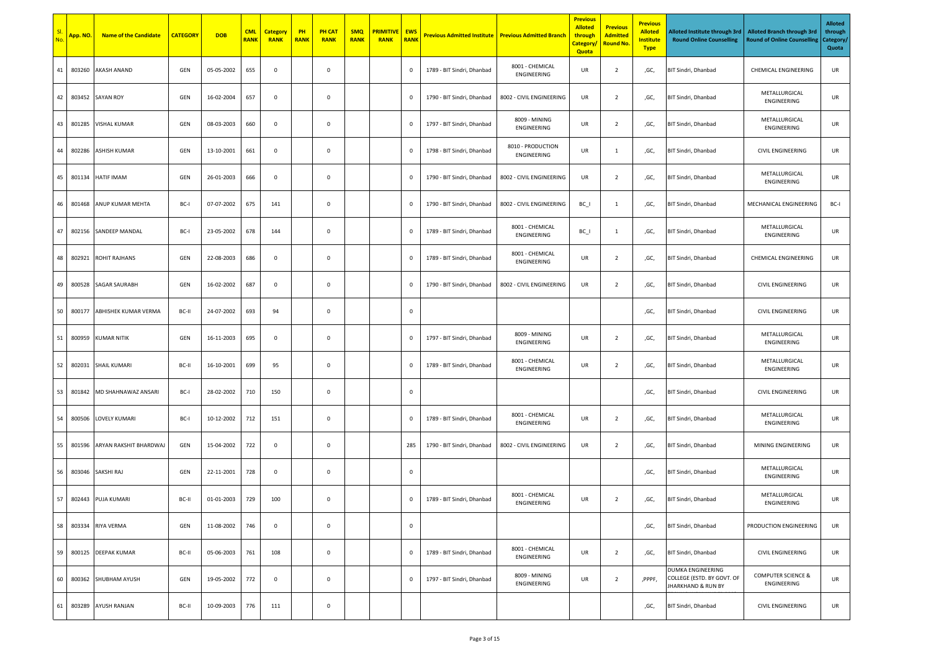| No. | <mark>App. NO.</mark> | <b>Name of the Candidate</b> | <b>CATEGORY</b> | <b>DOB</b> | <b>CML</b><br><b>RANK</b> | <b>Category</b><br><b>RANK</b> | PH<br><b>RANK</b> | <b>PH CAT</b><br><b>RANK</b> | <b>SMQ</b><br><b>RANK</b> | <b>PRIMITIVE</b><br><b>RANK</b> | <b>EWS</b><br><b>RANK</b> | <b>Previous Admitted Institute   Previous Admitted Branch</b> |                                  | <b>Previous</b><br><b>Alloted</b><br>through<br><b>Category</b><br>Quota | <b>Previous</b><br><b>Admitted</b><br><b>Round No.</b> | <b>Previous</b><br><b>Alloted</b><br><b>Institute</b><br><b>Type</b> | Alloted Institute through 3rd<br><b>Round Online Counselling</b>                 | <b>Alloted Branch through 3rd</b><br><b>Round of Online Counselling</b> | <b>Alloted</b><br>through<br>Category/<br>Quota |
|-----|-----------------------|------------------------------|-----------------|------------|---------------------------|--------------------------------|-------------------|------------------------------|---------------------------|---------------------------------|---------------------------|---------------------------------------------------------------|----------------------------------|--------------------------------------------------------------------------|--------------------------------------------------------|----------------------------------------------------------------------|----------------------------------------------------------------------------------|-------------------------------------------------------------------------|-------------------------------------------------|
| 41  | 803260                | <b>AKASH ANAND</b>           | GEN             | 05-05-2002 | 655                       | $\mathbf 0$                    |                   | $\mathbf 0$                  |                           |                                 | $\mathbf 0$               | 1789 - BIT Sindri, Dhanbad                                    | 8001 - CHEMICAL<br>ENGINEERING   | UR                                                                       | $\overline{2}$                                         | ,GC,                                                                 | BIT Sindri, Dhanbad                                                              | <b>CHEMICAL ENGINEERING</b>                                             | UR                                              |
| 42  | 803452                | <b>SAYAN ROY</b>             | GEN             | 16-02-2004 | 657                       | $\mathbf 0$                    |                   | $\mathbf 0$                  |                           |                                 | $\mathbf 0$               | 1790 - BIT Sindri, Dhanbad                                    | 8002 - CIVIL ENGINEERING         | UR                                                                       | $\overline{2}$                                         | ,GC,                                                                 | BIT Sindri, Dhanbad                                                              | METALLURGICAL<br>ENGINEERING                                            | UR                                              |
| 43  | 801285                | VISHAL KUMAR                 | GEN             | 08-03-2003 | 660                       | $\mathbf 0$                    |                   | $\mathbf 0$                  |                           |                                 | $\mathbf 0$               | 1797 - BIT Sindri, Dhanbad                                    | 8009 - MINING<br>ENGINEERING     | UR                                                                       | $\overline{2}$                                         | ,GC,                                                                 | BIT Sindri, Dhanbad                                                              | METALLURGICAL<br>ENGINEERING                                            | UR                                              |
| 44  | 802286                | ASHISH KUMAR                 | GEN             | 13-10-2001 | 661                       | $\mathbf 0$                    |                   | $\mathbf 0$                  |                           |                                 | $\pmb{0}$                 | 1798 - BIT Sindri, Dhanbad                                    | 8010 - PRODUCTION<br>ENGINEERING | UR                                                                       | $\mathbf{1}$                                           | ,GC,                                                                 | BIT Sindri, Dhanbad                                                              | CIVIL ENGINEERING                                                       | UR                                              |
| 45  | 801134                | HATIF IMAM                   | GEN             | 26-01-2003 | 666                       | $\mathsf 0$                    |                   | $\mathbf 0$                  |                           |                                 | $\mathbf 0$               | 1790 - BIT Sindri, Dhanbad                                    | 8002 - CIVIL ENGINEERING         | UR                                                                       | $\overline{2}$                                         | ,GC,                                                                 | BIT Sindri, Dhanbad                                                              | METALLURGICAL<br>ENGINEERING                                            | UR                                              |
| 46  | 801468                | ANUP KUMAR MEHTA             | BC-I            | 07-07-2002 | 675                       | 141                            |                   | $\mathbf 0$                  |                           |                                 | $\pmb{0}$                 | 1790 - BIT Sindri, Dhanbad                                    | 8002 - CIVIL ENGINEERING         | $BC_$                                                                    | 1                                                      | ,GC,                                                                 | BIT Sindri, Dhanbad                                                              | MECHANICAL ENGINEERING                                                  | BC-I                                            |
| 47  | 802156                | SANDEEP MANDAL               | BC-I            | 23-05-2002 | 678                       | 144                            |                   | $\mathbf 0$                  |                           |                                 | $\mathbf 0$               | 1789 - BIT Sindri, Dhanbad                                    | 8001 - CHEMICAL<br>ENGINEERING   | $BC_$                                                                    | 1                                                      | ,GC,                                                                 | BIT Sindri, Dhanbad                                                              | METALLURGICAL<br>ENGINEERING                                            | UR                                              |
| 48  | 802921                | <b>ROHIT RAJHANS</b>         | GEN             | 22-08-2003 | 686                       | $\mathbf 0$                    |                   | $\mathbf 0$                  |                           |                                 | $\mathbf 0$               | 1789 - BIT Sindri, Dhanbad                                    | 8001 - CHEMICAL<br>ENGINEERING   | UR                                                                       | $\overline{2}$                                         | ,GC,                                                                 | BIT Sindri, Dhanbad                                                              | <b>CHEMICAL ENGINEERING</b>                                             | UR                                              |
| 49  | 800528                | <b>SAGAR SAURABH</b>         | GEN             | 16-02-2002 | 687                       | $\mathbf 0$                    |                   | $\mathbf 0$                  |                           |                                 | $\mathbf 0$               | 1790 - BIT Sindri, Dhanbad                                    | 8002 - CIVIL ENGINEERING         | UR                                                                       | $\overline{2}$                                         | ,GC,                                                                 | BIT Sindri, Dhanbad                                                              | <b>CIVIL ENGINEERING</b>                                                | UR                                              |
| 50  | 800177                | ABHISHEK KUMAR VERMA         | BC-II           | 24-07-2002 | 693                       | 94                             |                   | $\mathbf 0$                  |                           |                                 | $\mathbf 0$               |                                                               |                                  |                                                                          |                                                        | ,GC,                                                                 | BIT Sindri, Dhanbad                                                              | CIVIL ENGINEERING                                                       | UR                                              |
| 51  | 800959                | <b>KUMAR NITIK</b>           | GEN             | 16-11-2003 | 695                       | $\mathbf 0$                    |                   | $\mathbf 0$                  |                           |                                 | $\,0\,$                   | 1797 - BIT Sindri, Dhanbad                                    | 8009 - MINING<br>ENGINEERING     | UR                                                                       | $\overline{2}$                                         | ,GC,                                                                 | BIT Sindri, Dhanbad                                                              | METALLURGICAL<br>ENGINEERING                                            | UR                                              |
| 52  | 802031                | <b>SHAIL KUMARI</b>          | BC-II           | 16-10-2001 | 699                       | 95                             |                   | $\mathbf 0$                  |                           |                                 | $\mathbf 0$               | 1789 - BIT Sindri, Dhanbad                                    | 8001 - CHEMICAL<br>ENGINEERING   | UR                                                                       | $\overline{2}$                                         | ,GC,                                                                 | BIT Sindri, Dhanbad                                                              | METALLURGICAL<br>ENGINEERING                                            | UR                                              |
| 53  | 801842                | MD SHAHNAWAZ ANSARI          | BC-I            | 28-02-2002 | 710                       | 150                            |                   | $\mathbf 0$                  |                           |                                 | $\mathbf 0$               |                                                               |                                  |                                                                          |                                                        | ,GC,                                                                 | BIT Sindri, Dhanbad                                                              | <b>CIVIL ENGINEERING</b>                                                | UR                                              |
| 54  | 800506                | <b>LOVELY KUMARI</b>         | BC-I            | 10-12-2002 | 712                       | 151                            |                   | $\mathbf 0$                  |                           |                                 | $\mathbf 0$               | 1789 - BIT Sindri, Dhanbad                                    | 8001 - CHEMICAL<br>ENGINEERING   | UR                                                                       | $\overline{2}$                                         | ,GC,                                                                 | BIT Sindri, Dhanbad                                                              | METALLURGICAL<br>ENGINEERING                                            | UR                                              |
| 55  | 801596                | ARYAN RAKSHIT BHARDWAJ       | GEN             | 15-04-2002 | 722                       | $\mathbf 0$                    |                   | $\mathbf 0$                  |                           |                                 | 285                       | 1790 - BIT Sindri, Dhanbad                                    | 8002 - CIVIL ENGINEERING         | UR                                                                       | $\overline{2}$                                         | ,GC,                                                                 | BIT Sindri, Dhanbad                                                              | MINING ENGINEERING                                                      | UR                                              |
| 56  | 803046                | SAKSHI RAJ                   | GEN             | 22-11-2001 | 728                       | $\mathbf 0$                    |                   | $\mathbf 0$                  |                           |                                 | $\mathbf 0$               |                                                               |                                  |                                                                          |                                                        | ,GC,                                                                 | BIT Sindri, Dhanbad                                                              | METALLURGICAL<br>ENGINEERING                                            | UR                                              |
| 57  |                       | 802443 PUJA KUMARI           | BC-II           | 01-01-2003 | 729                       | 100                            |                   | $\mathbf 0$                  |                           |                                 | $\mathbf 0$               | 1789 - BIT Sindri, Dhanbad                                    | 8001 - CHEMICAL<br>ENGINEERING   | UR                                                                       | $\overline{2}$                                         | ,GC,                                                                 | BIT Sindri, Dhanbad                                                              | METALLURGICAL<br>ENGINEERING                                            | UR                                              |
| 58  |                       | 803334 RIYA VERMA            | GEN             | 11-08-2002 | 746                       | $\mathbf 0$                    |                   | $\mathbf 0$                  |                           |                                 | $\mathbf 0$               |                                                               |                                  |                                                                          |                                                        | ,GC,                                                                 | BIT Sindri, Dhanbad                                                              | PRODUCTION ENGINEERING                                                  | UR                                              |
| 59  | 800125                | <b>DEEPAK KUMAR</b>          | BC-II           | 05-06-2003 | 761                       | 108                            |                   | $\mathbf 0$                  |                           |                                 | $\mathbf{0}$              | 1789 - BIT Sindri, Dhanbad                                    | 8001 - CHEMICAL<br>ENGINEERING   | UR                                                                       | $\overline{2}$                                         | ,GC,                                                                 | BIT Sindri, Dhanbad                                                              | <b>CIVIL ENGINEERING</b>                                                | UR                                              |
| 60  |                       | 800362 SHUBHAM AYUSH         | GEN             | 19-05-2002 | 772                       | $\mathbf 0$                    |                   | $\mathbf 0$                  |                           |                                 | $\mathbf 0$               | 1797 - BIT Sindri, Dhanbad                                    | 8009 - MINING<br>ENGINEERING     | UR                                                                       | $\overline{2}$                                         | ,PPPF,                                                               | DUMKA ENGINEERING<br>COLLEGE (ESTD. BY GOVT. OF<br><b>IHARKHAND &amp; RUN BY</b> | <b>COMPUTER SCIENCE &amp;</b><br>ENGINEERING                            | UR                                              |
| 61  | 803289                | <b>AYUSH RANJAN</b>          | BC-II           | 10-09-2003 | 776                       | 111                            |                   | $\mathbf 0$                  |                           |                                 |                           |                                                               |                                  |                                                                          |                                                        | ,GC,                                                                 | BIT Sindri, Dhanbad                                                              | CIVIL ENGINEERING                                                       | UR                                              |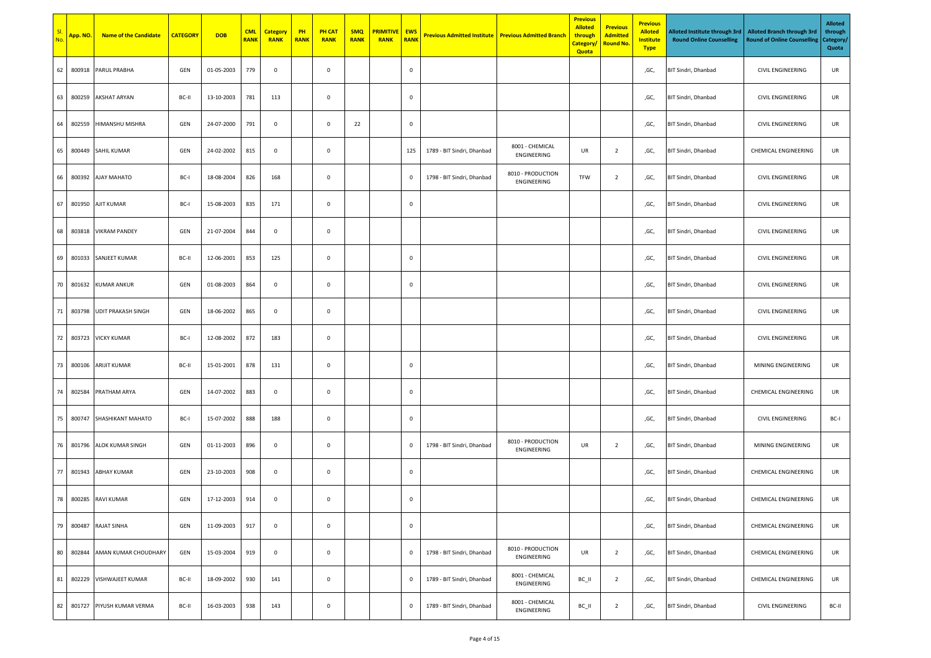| No | <mark>App. NO.</mark> | <b>Name of the Candidate</b> | <b>CATEGORY</b> | <b>DOB</b> | <b>CML</b><br><b>RANK</b> | <b>Category</b><br><b>RANK</b> | PH<br><b>RANK</b> | <b>PH CAT</b><br><b>RANK</b> | <b>SMQ</b><br><b>RANK</b> | <b>PRIMITIVE</b><br><b>RANK</b> | <b>EWS</b><br><b>RANK</b> | <b>Previous Admitted Institute   Previous Admitted Branch</b> |                                  | <b>Previous</b><br><b>Alloted</b><br>through<br>Category/<br>Quota | <b>Previous</b><br><b>Admitted</b><br><b>Round No.</b> | <b>Previous</b><br><b>Alloted</b><br><b>Institute</b><br><b>Type</b> | Alloted Institute through 3rd<br><b>Round Online Counselling</b> | <b>Alloted Branch through 3rd</b><br><b>Round of Online Counselling</b> | <b>Alloted</b><br>through<br>Category/<br>Quota |
|----|-----------------------|------------------------------|-----------------|------------|---------------------------|--------------------------------|-------------------|------------------------------|---------------------------|---------------------------------|---------------------------|---------------------------------------------------------------|----------------------------------|--------------------------------------------------------------------|--------------------------------------------------------|----------------------------------------------------------------------|------------------------------------------------------------------|-------------------------------------------------------------------------|-------------------------------------------------|
| 62 | 800918                | PARUL PRABHA                 | GEN             | 01-05-2003 | 779                       | $\mathsf 0$                    |                   | $\mathbf 0$                  |                           |                                 | $\mathbf 0$               |                                                               |                                  |                                                                    |                                                        | ,GC,                                                                 | BIT Sindri, Dhanbad                                              | CIVIL ENGINEERING                                                       | UR                                              |
| 63 | 800259                | <b>AKSHAT ARYAN</b>          | BC-II           | 13-10-2003 | 781                       | 113                            |                   | $\mathbf 0$                  |                           |                                 | $\mathbf 0$               |                                                               |                                  |                                                                    |                                                        | ,GC,                                                                 | BIT Sindri, Dhanbad                                              | CIVIL ENGINEERING                                                       | UR                                              |
| 64 | 802559                | HIMANSHU MISHRA              | GEN             | 24-07-2000 | 791                       | $\mathbf 0$                    |                   | $\mathbf 0$                  | 22                        |                                 | $\mathbf 0$               |                                                               |                                  |                                                                    |                                                        | ,GC,                                                                 | BIT Sindri, Dhanbad                                              | CIVIL ENGINEERING                                                       | UR                                              |
| 65 | 800449                | SAHIL KUMAR                  | GEN             | 24-02-2002 | 815                       | $\mathsf 0$                    |                   | 0                            |                           |                                 | 125                       | 1789 - BIT Sindri, Dhanbad                                    | 8001 - CHEMICAL<br>ENGINEERING   | UR                                                                 | $\overline{2}$                                         | ,GC,                                                                 | BIT Sindri, Dhanbad                                              | CHEMICAL ENGINEERING                                                    | UR                                              |
| 66 | 800392                | AJAY MAHATO                  | BC-I            | 18-08-2004 | 826                       | 168                            |                   | $\mathbf 0$                  |                           |                                 | $\,0\,$                   | 1798 - BIT Sindri, Dhanbad                                    | 8010 - PRODUCTION<br>ENGINEERING | TFW                                                                | $\overline{2}$                                         | ,GC,                                                                 | BIT Sindri, Dhanbad                                              | CIVIL ENGINEERING                                                       | UR                                              |
| 67 | 801950                | <b>AJIT KUMAR</b>            | BC-I            | 15-08-2003 | 835                       | 171                            |                   | $\mathbf 0$                  |                           |                                 | $\mathbf 0$               |                                                               |                                  |                                                                    |                                                        | ,GC,                                                                 | BIT Sindri, Dhanbad                                              | CIVIL ENGINEERING                                                       | UR                                              |
| 68 | 803818                | <b>VIKRAM PANDEY</b>         | GEN             | 21-07-2004 | 844                       | $\mathsf 0$                    |                   | $\mathbf 0$                  |                           |                                 |                           |                                                               |                                  |                                                                    |                                                        | ,GC,                                                                 | BIT Sindri, Dhanbad                                              | CIVIL ENGINEERING                                                       | UR                                              |
| 69 | 801033                | SANJEET KUMAR                | BC-II           | 12-06-2001 | 853                       | 125                            |                   | $\mathbf 0$                  |                           |                                 | $\mathbf 0$               |                                                               |                                  |                                                                    |                                                        | ,GC,                                                                 | BIT Sindri, Dhanbad                                              | CIVIL ENGINEERING                                                       | UR                                              |
| 70 | 801632                | <b>KUMAR ANKUR</b>           | GEN             | 01-08-2003 | 864                       | $\mathbf 0$                    |                   | $\mathbf 0$                  |                           |                                 | $\mathbf 0$               |                                                               |                                  |                                                                    |                                                        | ,GC,                                                                 | BIT Sindri, Dhanbad                                              | <b>CIVIL ENGINEERING</b>                                                | UR                                              |
| 71 | 803798                | <b>UDIT PRAKASH SINGH</b>    | GEN             | 18-06-2002 | 865                       | $\mathsf 0$                    |                   | $\mathbf 0$                  |                           |                                 |                           |                                                               |                                  |                                                                    |                                                        | ,GC,                                                                 | BIT Sindri, Dhanbad                                              | <b>CIVIL ENGINEERING</b>                                                | UR                                              |
| 72 |                       | 803723 VICKY KUMAR           | BC-I            | 12-08-2002 | 872                       | 183                            |                   | $\mathbf 0$                  |                           |                                 |                           |                                                               |                                  |                                                                    |                                                        | ,GC,                                                                 | BIT Sindri, Dhanbad                                              | <b>CIVIL ENGINEERING</b>                                                | UR                                              |
| 73 | 800106                | ARIJIT KUMAR                 | BC-II           | 15-01-2001 | 878                       | 131                            |                   | $\mathbf 0$                  |                           |                                 | $\mathbf 0$               |                                                               |                                  |                                                                    |                                                        | ,GC,                                                                 | BIT Sindri, Dhanbad                                              | MINING ENGINEERING                                                      | UR                                              |
| 74 | 802584                | PRATHAM ARYA                 | GEN             | 14-07-2002 | 883                       | $\mathsf 0$                    |                   | $\mathbf 0$                  |                           |                                 | $\mathbf 0$               |                                                               |                                  |                                                                    |                                                        | ,GC,                                                                 | BIT Sindri, Dhanbad                                              | <b>CHEMICAL ENGINEERING</b>                                             | UR                                              |
| 75 | 800747                | SHASHIKANT MAHATO            | BC-I            | 15-07-2002 | 888                       | 188                            |                   | $\mathbf 0$                  |                           |                                 | $\mathbf 0$               |                                                               |                                  |                                                                    |                                                        | ,GC,                                                                 | BIT Sindri, Dhanbad                                              | CIVIL ENGINEERING                                                       | BC-I                                            |
| 76 | 801796                | <b>ALOK KUMAR SINGH</b>      | GEN             | 01-11-2003 | 896                       | $\mathsf 0$                    |                   | $\mathbf 0$                  |                           |                                 | $\mathbf 0$               | 1798 - BIT Sindri, Dhanbad                                    | 8010 - PRODUCTION<br>ENGINEERING | UR                                                                 | $\overline{2}$                                         | ,GC,                                                                 | BIT Sindri, Dhanbad                                              | MINING ENGINEERING                                                      | UR                                              |
| 77 | 801943                | <b>ABHAY KUMAR</b>           | GEN             | 23-10-2003 | 908                       | $\mathsf 0$                    |                   | 0                            |                           |                                 | $\pmb{0}$                 |                                                               |                                  |                                                                    |                                                        | ,GC,                                                                 | BIT Sindri, Dhanbad                                              | <b>CHEMICAL ENGINEERING</b>                                             | UR                                              |
| 78 |                       | 800285 RAVI KUMAR            | GEN             | 17-12-2003 | 914                       | $\mathbf 0$                    |                   | $\mathbf 0$                  |                           |                                 | $\mathbf 0$               |                                                               |                                  |                                                                    |                                                        | ,GC,                                                                 | BIT Sindri, Dhanbad                                              | <b>CHEMICAL ENGINEERING</b>                                             | UR                                              |
| 79 | 800487                | RAJAT SINHA                  | GEN             | 11-09-2003 | 917                       | $\mathbf 0$                    |                   | $\mathbf 0$                  |                           |                                 | $\mathbf 0$               |                                                               |                                  |                                                                    |                                                        | ,GC,                                                                 | BIT Sindri, Dhanbad                                              | <b>CHEMICAL ENGINEERING</b>                                             | UR                                              |
| 80 | 802844                | AMAN KUMAR CHOUDHARY         | GEN             | 15-03-2004 | 919                       | $\mathsf 0$                    |                   | $\mathbf 0$                  |                           |                                 | $\,0\,$                   | 1798 - BIT Sindri, Dhanbad                                    | 8010 - PRODUCTION<br>ENGINEERING | UR                                                                 | $\overline{2}$                                         | ,GC,                                                                 | BIT Sindri, Dhanbad                                              | <b>CHEMICAL ENGINEERING</b>                                             | UR                                              |
| 81 | 802229                | VISHWAJEET KUMAR             | BC-II           | 18-09-2002 | 930                       | 141                            |                   | $\mathbf 0$                  |                           |                                 | $\mathbf 0$               | 1789 - BIT Sindri, Dhanbad                                    | 8001 - CHEMICAL<br>ENGINEERING   | BC_II                                                              | $\overline{2}$                                         | ,GC,                                                                 | BIT Sindri, Dhanbad                                              | <b>CHEMICAL ENGINEERING</b>                                             | UR                                              |
| 82 | 801727                | PIYUSH KUMAR VERMA           | BC-II           | 16-03-2003 | 938                       | 143                            |                   | $\mathbf 0$                  |                           |                                 | $\,0\,$                   | 1789 - BIT Sindri, Dhanbad                                    | 8001 - CHEMICAL<br>ENGINEERING   | BC_II                                                              | $\overline{2}$                                         | ,GC,                                                                 | BIT Sindri, Dhanbad                                              | CIVIL ENGINEERING                                                       | BC-II                                           |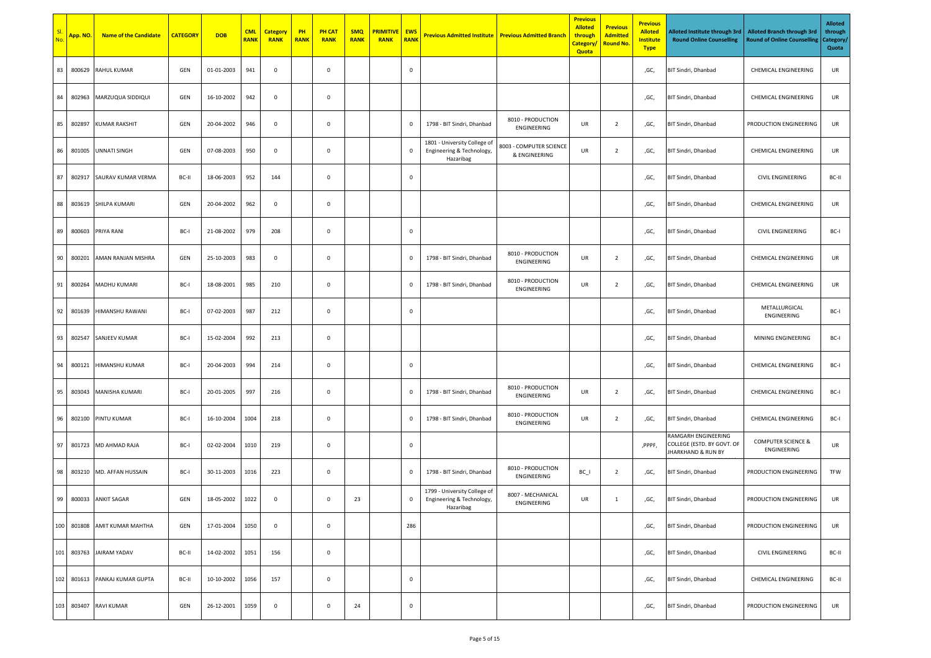| SI.<br>No. | App. NO.   | <b>Name of the Candidate</b> | <b>CATEGORY</b> | <b>DOB</b> | <b>CML</b><br><b>RANK</b> | <b>Category</b><br><b>RANK</b> | PH<br><b>RANK</b> | <b>PH CAT</b><br><b>RANK</b> | <b>SMQ</b><br><b>RANK</b> | <b>PRIMITIVE</b><br><b>RANK</b> | <b>EWS</b><br><b>RANK</b> | <b>Previous Admitted Institute</b>                                     | <b>Previous Admitted Branch</b>          | <b>Previous</b><br><b>Alloted</b><br>through<br>Category,<br>Quota | <b>Previous</b><br><b>Admitted</b><br><mark>Round No</mark> | <b>Previous</b><br><b>Alloted</b><br><b>Institute</b><br><b>Type</b> | Alloted Institute through 3rd<br><b>Round Online Counselling</b>        | <b>Alloted Branch through 3rd</b><br>Round of Online Counselling | <b>Alloted</b><br>through<br>Category/<br>Quota |
|------------|------------|------------------------------|-----------------|------------|---------------------------|--------------------------------|-------------------|------------------------------|---------------------------|---------------------------------|---------------------------|------------------------------------------------------------------------|------------------------------------------|--------------------------------------------------------------------|-------------------------------------------------------------|----------------------------------------------------------------------|-------------------------------------------------------------------------|------------------------------------------------------------------|-------------------------------------------------|
| 83         | 800629     | RAHUL KUMAR                  | GEN             | 01-01-2003 | 941                       | 0                              |                   | $\mathbf 0$                  |                           |                                 | $\mathbf 0$               |                                                                        |                                          |                                                                    |                                                             | ,GC,                                                                 | BIT Sindri, Dhanbad                                                     | <b>CHEMICAL ENGINEERING</b>                                      | UR                                              |
| 84         | 802963     | MARZUQUA SIDDIQUI            | GEN             | 16-10-2002 | 942                       | $\mathsf 0$                    |                   | $\mathsf 0$                  |                           |                                 |                           |                                                                        |                                          |                                                                    |                                                             | ,GC,                                                                 | BIT Sindri, Dhanbad                                                     | CHEMICAL ENGINEERING                                             | UR                                              |
| 85         | 802897     | <b>KUMAR RAKSHIT</b>         | GEN             | 20-04-2002 | 946                       | $\mathsf 0$                    |                   | $\mathsf 0$                  |                           |                                 | $\mathbf 0$               | 1798 - BIT Sindri, Dhanbad                                             | 8010 - PRODUCTION<br>ENGINEERING         | UR                                                                 | $\overline{2}$                                              | ,GC,                                                                 | BIT Sindri, Dhanbad                                                     | PRODUCTION ENGINEERING                                           | UR                                              |
| 86         | 801005     | UNNATI SINGH                 | GEN             | 07-08-2003 | 950                       | $\mathbf 0$                    |                   | $\mathbf 0$                  |                           |                                 | $\mathbf 0$               | 1801 - University College of<br>Engineering & Technology,<br>Hazaribag | 8003 - COMPUTER SCIENCE<br>& ENGINEERING | UR                                                                 | $\overline{2}$                                              | ,GC,                                                                 | <b>BIT Sindri, Dhanbad</b>                                              | CHEMICAL ENGINEERING                                             | UR                                              |
| 87         | 802917     | SAURAV KUMAR VERMA           | BC-II           | 18-06-2003 | 952                       | 144                            |                   | $\mathbf 0$                  |                           |                                 | $\mathbf 0$               |                                                                        |                                          |                                                                    |                                                             | ,GC,                                                                 | BIT Sindri, Dhanbad                                                     | <b>CIVIL ENGINEERING</b>                                         | BC-II                                           |
| 88         | 803619     | SHILPA KUMARI                | GEN             | 20-04-2002 | 962                       | 0                              |                   | $\mathbf 0$                  |                           |                                 |                           |                                                                        |                                          |                                                                    |                                                             | ,GC,                                                                 | BIT Sindri, Dhanbad                                                     | CHEMICAL ENGINEERING                                             | UR                                              |
| 89         | 800603     | PRIYA RANI                   | BC-I            | 21-08-2002 | 979                       | 208                            |                   | $\mathbf 0$                  |                           |                                 | $\mathbf 0$               |                                                                        |                                          |                                                                    |                                                             | ,GC,                                                                 | BIT Sindri, Dhanbad                                                     | CIVIL ENGINEERING                                                | BC-I                                            |
| 90         | 800201     | AMAN RANJAN MISHRA           | GEN             | 25-10-2003 | 983                       | $\mathbf 0$                    |                   | $\mathsf 0$                  |                           |                                 | $\mathbf 0$               | 1798 - BIT Sindri, Dhanbad                                             | 8010 - PRODUCTION<br>ENGINEERING         | UR                                                                 | $\overline{2}$                                              | ,GC,                                                                 | BIT Sindri, Dhanbad                                                     | CHEMICAL ENGINEERING                                             | UR                                              |
| 91         | 800264     | MADHU KUMARI                 | BC-I            | 18-08-2001 | 985                       | 210                            |                   | $\mathbf 0$                  |                           |                                 | $\mathbf 0$               | 1798 - BIT Sindri, Dhanbad                                             | 8010 - PRODUCTION<br>ENGINEERING         | UR                                                                 | $\overline{2}$                                              | ,GC,                                                                 | BIT Sindri, Dhanbad                                                     | CHEMICAL ENGINEERING                                             | UR                                              |
| 92         | 801639     | HIMANSHU RAWANI              | BC-I            | 07-02-2003 | 987                       | 212                            |                   | $\mathbf 0$                  |                           |                                 | $\mathbf 0$               |                                                                        |                                          |                                                                    |                                                             | ,GC,                                                                 | <b>BIT Sindri, Dhanbad</b>                                              | METALLURGICAL<br>ENGINEERING                                     | BC-I                                            |
| 93         | 802547     | <b>SANJEEV KUMAR</b>         | BC-I            | 15-02-2004 | 992                       | 213                            |                   | $\mathbf 0$                  |                           |                                 |                           |                                                                        |                                          |                                                                    |                                                             | ,GC,                                                                 | BIT Sindri, Dhanbad                                                     | MINING ENGINEERING                                               | BC-I                                            |
| 94         | 800121     | HIMANSHU KUMAR               | BC-I            | 20-04-2003 | 994                       | 214                            |                   | $\mathbf 0$                  |                           |                                 | $\mathbf 0$               |                                                                        |                                          |                                                                    |                                                             | ,GC,                                                                 | BIT Sindri, Dhanbad                                                     | CHEMICAL ENGINEERING                                             | BC-I                                            |
| 95         | 803043     | MANISHA KUMARI               | BC-I            | 20-01-2005 | 997                       | 216                            |                   | $\mathbf 0$                  |                           |                                 | $\mathbf 0$               | 1798 - BIT Sindri, Dhanbad                                             | 8010 - PRODUCTION<br>ENGINEERING         | UR                                                                 | $\overline{2}$                                              | ,GC,                                                                 | BIT Sindri, Dhanbad                                                     | CHEMICAL ENGINEERING                                             | BC-I                                            |
| 96         | 802100     | PINTU KUMAR                  | BC-I            | 16-10-2004 | 1004                      | 218                            |                   | $\mathbf 0$                  |                           |                                 | $\mathbf 0$               | 1798 - BIT Sindri, Dhanbad                                             | 8010 - PRODUCTION<br>ENGINEERING         | UR                                                                 | $\overline{2}$                                              | ,GC,                                                                 | BIT Sindri, Dhanbad                                                     | CHEMICAL ENGINEERING                                             | BC-I                                            |
| 97         |            | 801723 MD AHMAD RAJA         | BC-I            | 02-02-2004 | 1010                      | 219                            |                   | $\mathbf 0$                  |                           |                                 | $\,0\,$                   |                                                                        |                                          |                                                                    |                                                             | ,PPPF,                                                               | RAMGARH ENGINEERING<br>COLLEGE (ESTD. BY GOVT. OF<br>JHARKHAND & RUN BY | <b>COMPUTER SCIENCE &amp;</b><br>ENGINEERING                     | UR                                              |
| 98         |            | 803210 MD. AFFAN HUSSAIN     | BC-I            | 30-11-2003 | 1016                      | 223                            |                   | $\mathbf 0$                  |                           |                                 | $\mathbf 0$               | 1798 - BIT Sindri, Dhanbad                                             | 8010 - PRODUCTION<br>ENGINEERING         | BC_I                                                               | $\overline{2}$                                              | ,GC,                                                                 | <b>BIT Sindri, Dhanbad</b>                                              | PRODUCTION ENGINEERING                                           | TFW                                             |
| 99         |            | 800033 ANKIT SAGAR           | GEN             | 18-05-2002 | 1022                      | 0                              |                   | $\mathbf 0$                  | 23                        |                                 | $\mathbf 0$               | 1799 - University College of<br>Engineering & Technology,<br>Hazaribag | 8007 - MECHANICAL<br>ENGINEERING         | UR                                                                 | 1                                                           | ,GC,                                                                 | BIT Sindri, Dhanbad                                                     | PRODUCTION ENGINEERING                                           | UR                                              |
| 100        | 801808     | AMIT KUMAR MAHTHA            | GEN             | 17-01-2004 | 1050                      | $\mathsf 0$                    |                   | $\mathsf 0$                  |                           |                                 | 286                       |                                                                        |                                          |                                                                    |                                                             | ,GC,                                                                 | BIT Sindri, Dhanbad                                                     | PRODUCTION ENGINEERING                                           | UR                                              |
|            | 101 803763 | JAIRAM YADAV                 | BC-II           | 14-02-2002 | 1051                      | 156                            |                   | $\mathbf 0$                  |                           |                                 |                           |                                                                        |                                          |                                                                    |                                                             | ,GC,                                                                 | BIT Sindri, Dhanbad                                                     | CIVIL ENGINEERING                                                | BC-II                                           |
| 102        |            | 801613 PANKAJ KUMAR GUPTA    | BC-II           | 10-10-2002 | 1056                      | 157                            |                   | $\mathbf 0$                  |                           |                                 | $\,0\,$                   |                                                                        |                                          |                                                                    |                                                             | ,GC,                                                                 | BIT Sindri, Dhanbad                                                     | CHEMICAL ENGINEERING                                             | BC-II                                           |
| 103        | 803407     | RAVI KUMAR                   | GEN             | 26-12-2001 | 1059                      | $\mathsf 0$                    |                   | $\mathbf 0$                  | 24                        |                                 | $\mathbf 0$               |                                                                        |                                          |                                                                    |                                                             | ,GC,                                                                 | BIT Sindri, Dhanbad                                                     | PRODUCTION ENGINEERING                                           | UR                                              |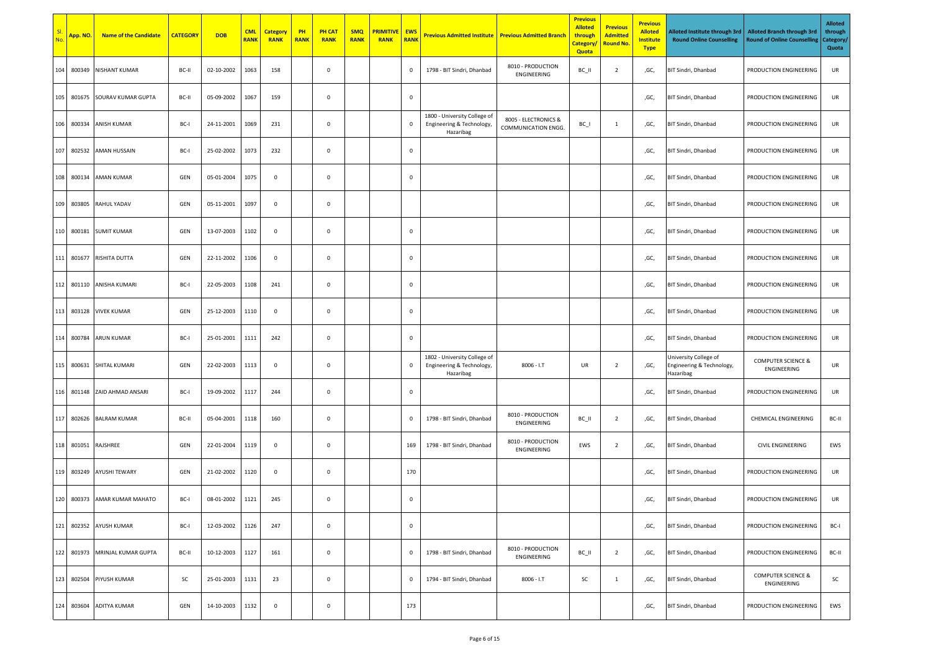| SI.<br>No.       | App. NO.   | <b>Name of the Candidate</b> | <b>CATEGORY</b> | <b>DOB</b> | <b>CML</b><br><b>RANK</b> | <b>Category</b><br><b>RANK</b> | PH<br><b>RANK</b> | <b>PH CAT</b><br><b>RANK</b> | <b>SMQ</b><br><b>RANK</b> | <b>PRIMITIVE</b><br><b>RANK</b> | <b>EWS</b><br><b>RANK</b> | <b>Previous Admitted Institute</b>                                     | <b>Previous Admitted Branch</b>             | <b>Previous</b><br><b>Alloted</b><br>through<br>Category,<br>Quota | <b>Previous</b><br><b>Admitted</b><br><mark>Round No</mark> | <b>Previous</b><br><b>Alloted</b><br><b>Institute</b><br><b>Type</b> | Alloted Institute through 3rd<br><b>Round Online Counselling</b> | <b>Alloted Branch through 3rd</b><br>Round of Online Counselling | <b>Alloted</b><br>through<br>Category/<br>Quota |
|------------------|------------|------------------------------|-----------------|------------|---------------------------|--------------------------------|-------------------|------------------------------|---------------------------|---------------------------------|---------------------------|------------------------------------------------------------------------|---------------------------------------------|--------------------------------------------------------------------|-------------------------------------------------------------|----------------------------------------------------------------------|------------------------------------------------------------------|------------------------------------------------------------------|-------------------------------------------------|
| 104              | 800349     | NISHANT KUMAR                | BC-II           | 02-10-2002 | 1063                      | 158                            |                   | $\mathbf 0$                  |                           |                                 | $\mathbf 0$               | 1798 - BIT Sindri, Dhanbad                                             | 8010 - PRODUCTION<br>ENGINEERING            | BC_II                                                              | $\overline{2}$                                              | ,GC,                                                                 | BIT Sindri, Dhanbad                                              | PRODUCTION ENGINEERING                                           | UR                                              |
| 105              | 801675     | SOURAV KUMAR GUPTA           | BC-II           | 05-09-2002 | 1067                      | 159                            |                   | $\mathbf 0$                  |                           |                                 | $\,0\,$                   |                                                                        |                                             |                                                                    |                                                             | ,GC,                                                                 | BIT Sindri, Dhanbad                                              | PRODUCTION ENGINEERING                                           | UR                                              |
| 106              | 800334     | ANISH KUMAR                  | BC-I            | 24-11-2001 | 1069                      | 231                            |                   | $\mathsf 0$                  |                           |                                 | $\mathbf 0$               | 1800 - University College of<br>Engineering & Technology,<br>Hazaribag | 8005 - ELECTRONICS &<br>COMMUNICATION ENGG. | $BC_$                                                              | $\mathbf{1}$                                                | ,GC,                                                                 | BIT Sindri, Dhanbad                                              | PRODUCTION ENGINEERING                                           | UR                                              |
| 107              | 802532     | AMAN HUSSAIN                 | BC-I            | 25-02-2002 | 1073                      | 232                            |                   | $\mathbf 0$                  |                           |                                 | $\mathbf 0$               |                                                                        |                                             |                                                                    |                                                             | ,GC,                                                                 | BIT Sindri, Dhanbad                                              | PRODUCTION ENGINEERING                                           | UR                                              |
| 108 <sub>1</sub> | 800134     | AMAN KUMAR                   | GEN             | 05-01-2004 | 1075                      | 0                              |                   | $\mathbf 0$                  |                           |                                 | $\mathbf 0$               |                                                                        |                                             |                                                                    |                                                             | ,GC,                                                                 | BIT Sindri, Dhanbad                                              | PRODUCTION ENGINEERING                                           | UR                                              |
|                  | 109 803805 | RAHUL YADAV                  | GEN             | 05-11-2001 | 1097                      | 0                              |                   | $\mathbf 0$                  |                           |                                 |                           |                                                                        |                                             |                                                                    |                                                             | ,GC,                                                                 | BIT Sindri, Dhanbad                                              | PRODUCTION ENGINEERING                                           | UR                                              |
|                  | 110 800181 | <b>SUMIT KUMAR</b>           | GEN             | 13-07-2003 | 1102                      | $\mathsf 0$                    |                   | $\mathbf 0$                  |                           |                                 | $\mathbf 0$               |                                                                        |                                             |                                                                    |                                                             | ,GC,                                                                 | BIT Sindri, Dhanbad                                              | PRODUCTION ENGINEERING                                           | UR                                              |
| 111              | 801677     | RISHITA DUTTA                | GEN             | 22-11-2002 | 1106                      | $\mathbf 0$                    |                   | $\mathsf 0$                  |                           |                                 | $\mathbf 0$               |                                                                        |                                             |                                                                    |                                                             | ,GC,                                                                 | BIT Sindri, Dhanbad                                              | PRODUCTION ENGINEERING                                           | UR                                              |
| 112              | 801110     | ANISHA KUMARI                | BC-I            | 22-05-2003 | 1108                      | 241                            |                   | $\mathbf 0$                  |                           |                                 | $\mathbf 0$               |                                                                        |                                             |                                                                    |                                                             | ,GC,                                                                 | BIT Sindri, Dhanbad                                              | PRODUCTION ENGINEERING                                           | UR                                              |
| 113              | 803128     | <b>VIVEK KUMAR</b>           | GEN             | 25-12-2003 | 1110                      | $\mathsf 0$                    |                   | $\mathbf 0$                  |                           |                                 | $\mathbf 0$               |                                                                        |                                             |                                                                    |                                                             | ,GC,                                                                 | BIT Sindri, Dhanbad                                              | PRODUCTION ENGINEERING                                           | UR                                              |
| 114              | 800784     | <b>ARUN KUMAR</b>            | BC-I            | 25-01-2001 | 1111                      | 242                            |                   | $\mathbf 0$                  |                           |                                 | $\mathbf 0$               |                                                                        |                                             |                                                                    |                                                             | ,GC,                                                                 | BIT Sindri, Dhanbad                                              | PRODUCTION ENGINEERING                                           | UR                                              |
| 115              | 800631     | SHITAL KUMARI                | GEN             | 22-02-2003 | 1113                      | 0                              |                   | $\mathbf 0$                  |                           |                                 | $\mathbf 0$               | 1802 - University College of<br>Engineering & Technology,<br>Hazaribag | $8006 - I.T$                                | UR                                                                 | $\overline{2}$                                              | ,GC,                                                                 | University College of<br>Engineering & Technology,<br>Hazaribag  | <b>COMPUTER SCIENCE &amp;</b><br>ENGINEERING                     | UR                                              |
| 116              |            | 801148 ZAID AHMAD ANSARI     | BC-I            | 19-09-2002 | 1117                      | 244                            |                   | $\mathbf 0$                  |                           |                                 | $\mathbf 0$               |                                                                        |                                             |                                                                    |                                                             | ,GC,                                                                 | BIT Sindri, Dhanbad                                              | PRODUCTION ENGINEERING                                           | UR                                              |
| 117              | 802626     | <b>BALRAM KUMAR</b>          | BC-II           | 05-04-2001 | 1118                      | 160                            |                   | $\mathbf 0$                  |                           |                                 | $\mathbf 0$               | 1798 - BIT Sindri, Dhanbad                                             | 8010 - PRODUCTION<br>ENGINEERING            | BC_II                                                              | $\overline{2}$                                              | ,GC,                                                                 | BIT Sindri, Dhanbad                                              | CHEMICAL ENGINEERING                                             | BC-II                                           |
| 118              | 801051     | RAJSHREE                     | GEN             | 22-01-2004 | 1119                      | $\mathbf{0}$                   |                   | $\mathbf 0$                  |                           |                                 | 169                       | 1798 - BIT Sindri, Dhanbad                                             | 8010 - PRODUCTION<br>ENGINEERING            | EWS                                                                | $\overline{2}$                                              | ,GC,                                                                 | BIT Sindri, Dhanbad                                              | <b>CIVIL ENGINEERING</b>                                         | EWS                                             |
| 119              | 803249     | <b>AYUSHI TEWARY</b>         | GEN             | 21-02-2002 | 1120                      | $\mathsf 0$                    |                   | $\mathbf 0$                  |                           |                                 | 170                       |                                                                        |                                             |                                                                    |                                                             | ,GC,                                                                 | <b>BIT Sindri, Dhanbad</b>                                       | PRODUCTION ENGINEERING                                           | UR                                              |
|                  |            | 120 800373 AMAR KUMAR MAHATO | BC-I            | 08-01-2002 | 1121                      | 245                            |                   | $\mathbf 0$                  |                           |                                 | $\mathbf 0$               |                                                                        |                                             |                                                                    |                                                             | ,GC,                                                                 | BIT Sindri, Dhanbad                                              | PRODUCTION ENGINEERING                                           | UR                                              |
| 121              | 802352     | <b>AYUSH KUMAR</b>           | BC-I            | 12-03-2002 | 1126                      | 247                            |                   | $\mathsf 0$                  |                           |                                 | $\,0\,$                   |                                                                        |                                             |                                                                    |                                                             | ,GC,                                                                 | BIT Sindri, Dhanbad                                              | PRODUCTION ENGINEERING                                           | BC-I                                            |
| 122              | 801973     | MRINJAL KUMAR GUPTA          | BC-II           | 10-12-2003 | 1127                      | 161                            |                   | $\mathbf 0$                  |                           |                                 | $\mathbf 0$               | 1798 - BIT Sindri, Dhanbad                                             | 8010 - PRODUCTION<br>ENGINEERING            | BC_II                                                              | $\overline{2}$                                              | ,GC,                                                                 | BIT Sindri, Dhanbad                                              | PRODUCTION ENGINEERING                                           | BC-II                                           |
| 123              | 802504     | PIYUSH KUMAR                 | SC              | 25-01-2003 | 1131                      | 23                             |                   | $\mathsf 0$                  |                           |                                 | $\mathbf 0$               | 1794 - BIT Sindri, Dhanbad                                             | $8006 - I.T$                                | SC                                                                 | $\mathbf{1}$                                                | ,GC,                                                                 | BIT Sindri, Dhanbad                                              | <b>COMPUTER SCIENCE &amp;</b><br>ENGINEERING                     | SC                                              |
| 124              | 803604     | <b>ADITYA KUMAR</b>          | GEN             | 14-10-2003 | 1132                      | $\mathsf 0$                    |                   | $\mathbf 0$                  |                           |                                 | 173                       |                                                                        |                                             |                                                                    |                                                             | ,GC,                                                                 | BIT Sindri, Dhanbad                                              | PRODUCTION ENGINEERING                                           | EWS                                             |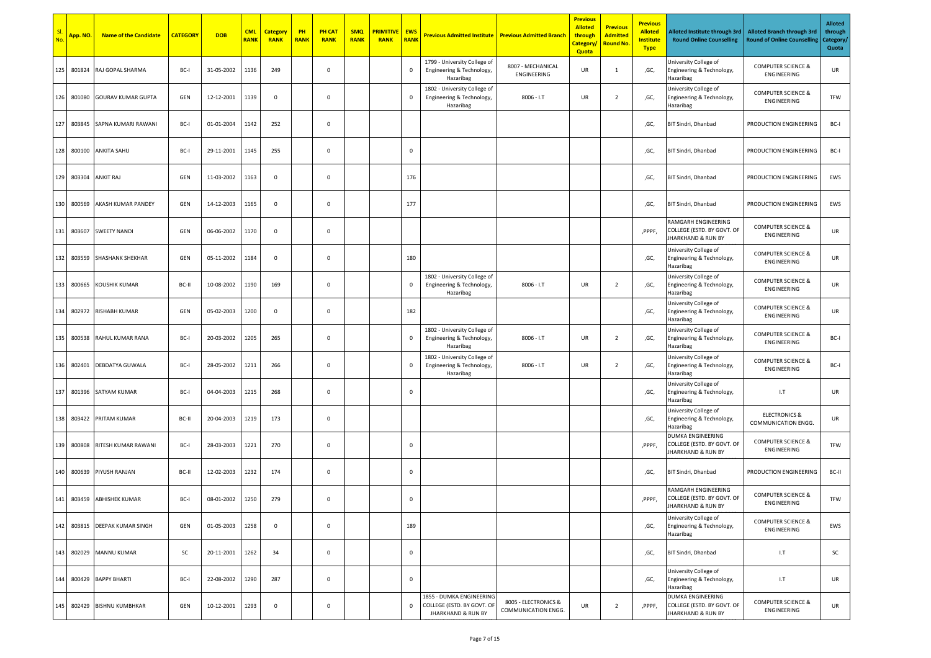| SI.<br>No. | App. NO. | <b>Name of the Candidate</b> | <b>CATEGORY</b> | <b>DOB</b> | <b>CML</b><br><b>RANK</b> | <b>Category</b><br><b>RANK</b> | PH<br><b>RANK</b> | <b>PH CAT</b><br><b>RANK</b> | <b>SMQ</b><br><b>RANK</b> | <b>PRIMITIVE</b><br><b>RANK</b> | <b>EWS</b><br><b>RANK</b> | <b>Previous Admitted Institute   Previous Admitted Branch</b>                           |                                             | <b>Previous</b><br><b>Alloted</b><br>through<br><b>Category</b><br>Quota | <b>Previous</b><br><b>Admitted</b><br><b>Round No.</b> | <b>Previous</b><br><b>Alloted</b><br><b>Institute</b><br><b>Type</b> | Alloted Institute through 3rd<br><b>Round Online Counselling</b>                 | <b>Alloted Branch through 3rd</b><br><b>Round of Online Counselling</b> | <b>Alloted</b><br>through<br>Category/<br>Quota |
|------------|----------|------------------------------|-----------------|------------|---------------------------|--------------------------------|-------------------|------------------------------|---------------------------|---------------------------------|---------------------------|-----------------------------------------------------------------------------------------|---------------------------------------------|--------------------------------------------------------------------------|--------------------------------------------------------|----------------------------------------------------------------------|----------------------------------------------------------------------------------|-------------------------------------------------------------------------|-------------------------------------------------|
| 125        | 801824   | RAJ GOPAL SHARMA             | BC-             | 31-05-2002 | 1136                      | 249                            |                   | 0                            |                           |                                 | $\mathbf 0$               | 1799 - University College of<br>Engineering & Technology,<br>Hazaribag                  | 8007 - MECHANICAL<br>ENGINEERING            | UR                                                                       | 1                                                      | ,GC,                                                                 | University College of<br>Engineering & Technology,<br>Hazaribag                  | <b>COMPUTER SCIENCE &amp;</b><br>ENGINEERING                            | UR                                              |
| 126        | 801080   | <b>GOURAV KUMAR GUPTA</b>    | GEN             | 12-12-2001 | 1139                      | $\mathbf 0$                    |                   | 0                            |                           |                                 | $\mathbf 0$               | 1802 - University College of<br>Engineering & Technology,<br>Hazaribag                  | $8006 - I.T$                                | UR                                                                       | $\overline{2}$                                         | ,GC,                                                                 | University College of<br>Engineering & Technology,<br>Hazaribag                  | <b>COMPUTER SCIENCE &amp;</b><br>ENGINEERING                            | TFW                                             |
| 127        | 803845   | SAPNA KUMARI RAWANI          | BC-             | 01-01-2004 | 1142                      | 252                            |                   | 0                            |                           |                                 |                           |                                                                                         |                                             |                                                                          |                                                        | ,GC,                                                                 | BIT Sindri, Dhanbad                                                              | PRODUCTION ENGINEERING                                                  | BC-I                                            |
| 128        | 800100   | ANKITA SAHU                  | BC-I            | 29-11-2001 | 1145                      | 255                            |                   | 0                            |                           |                                 | $\mathbf 0$               |                                                                                         |                                             |                                                                          |                                                        | ,GC,                                                                 | BIT Sindri, Dhanbad                                                              | PRODUCTION ENGINEERING                                                  | BC-I                                            |
| 129        | 803304   | <b>ANKIT RAJ</b>             | GEN             | 11-03-2002 | 1163                      | $\mathbf 0$                    |                   | 0                            |                           |                                 | 176                       |                                                                                         |                                             |                                                                          |                                                        | ,GC,                                                                 | BIT Sindri, Dhanbad                                                              | PRODUCTION ENGINEERING                                                  | EWS                                             |
| 130        | 800569   | AKASH KUMAR PANDEY           | GEN             | 14-12-2003 | 1165                      | $\mathbf 0$                    |                   | 0                            |                           |                                 | 177                       |                                                                                         |                                             |                                                                          |                                                        | ,GC,                                                                 | BIT Sindri, Dhanbad                                                              | PRODUCTION ENGINEERING                                                  | EWS                                             |
| 131        | 803607   | <b>SWEETY NANDI</b>          | GEN             | 06-06-2002 | 1170                      | $\mathsf 0$                    |                   | $\mathsf 0$                  |                           |                                 |                           |                                                                                         |                                             |                                                                          |                                                        | ,PPPF,                                                               | RAMGARH ENGINEERING<br>COLLEGE (ESTD. BY GOVT. OF<br>JHARKHAND & RUN BY          | <b>COMPUTER SCIENCE &amp;</b><br>ENGINEERING                            | UR                                              |
| 132        | 803559   | <b>SHASHANK SHEKHAR</b>      | GEN             | 05-11-2002 | 1184                      | $\mathbf 0$                    |                   | $\mathsf 0$                  |                           |                                 | 180                       |                                                                                         |                                             |                                                                          |                                                        | ,GC,                                                                 | University College of<br>Engineering & Technology,<br>Hazaribag                  | <b>COMPUTER SCIENCE &amp;</b><br>ENGINEERING                            | UR                                              |
| 133        | 800665   | <b>KOUSHIK KUMAR</b>         | BC-II           | 10-08-2002 | 1190                      | 169                            |                   | $\mathsf 0$                  |                           |                                 | $\,0\,$                   | 1802 - University College of<br>Engineering & Technology,<br>Hazaribag                  | $8006 - I.T$                                | UR                                                                       | $\overline{2}$                                         | ,GC,                                                                 | University College of<br>Engineering & Technology,<br>Hazaribag                  | <b>COMPUTER SCIENCE &amp;</b><br>ENGINEERING                            | UR                                              |
| 134        | 802972   | <b>RISHABH KUMAR</b>         | GEN             | 05-02-2003 | 1200                      | $\mathbf 0$                    |                   | $\mathbf 0$                  |                           |                                 | 182                       |                                                                                         |                                             |                                                                          |                                                        | ,GC,                                                                 | University College of<br>Engineering & Technology,<br>Hazaribag                  | <b>COMPUTER SCIENCE &amp;</b><br>ENGINEERING                            | UR                                              |
| 135        | 800538   | RAHUL KUMAR RANA             | BC-I            | 20-03-2002 | 1205                      | 265                            |                   | $\mathbf 0$                  |                           |                                 | $\mathbf 0$               | 1802 - University College of<br>Engineering & Technology,<br>Hazaribag                  | $8006 - I.T$                                | UR                                                                       | $\overline{2}$                                         | ,GC,                                                                 | University College of<br>Engineering & Technology,<br>Hazaribag                  | <b>COMPUTER SCIENCE &amp;</b><br>ENGINEERING                            | BC-I                                            |
| 136        | 802401   | DEBDATYA GUWALA              | BC-I            | 28-05-2002 | 1211                      | 266                            |                   | $\mathbf 0$                  |                           |                                 | $\mathbf 0$               | 1802 - University College of<br>Engineering & Technology,<br>Hazaribag                  | $8006 - I.T$                                | UR                                                                       | $\overline{2}$                                         | ,GC,                                                                 | Jniversity College of<br>Engineering & Technology,<br>Hazaribag                  | <b>COMPUTER SCIENCE &amp;</b><br>ENGINEERING                            | BC-I                                            |
| 137        |          | 801396 SATYAM KUMAR          | BC-I            | 04-04-2003 | 1215                      | 268                            |                   | $\mathbf 0$                  |                           |                                 | $\mathbf 0$               |                                                                                         |                                             |                                                                          |                                                        | ,GC,                                                                 | University College of<br>Engineering & Technology,<br>Hazaribag                  | 1.7                                                                     | UR                                              |
| 138        | 803422   | PRITAM KUMAR                 | BC-II           | 20-04-2003 | 1219                      | 173                            |                   | $\mathsf 0$                  |                           |                                 |                           |                                                                                         |                                             |                                                                          |                                                        | ,GC,                                                                 | University College of<br>Engineering & Technology,<br>Hazaribag                  | <b>ELECTRONICS &amp;</b><br>COMMUNICATION ENGG.                         | UR                                              |
| 139        | 800808   | RITESH KUMAR RAWANI          | BC-I            | 28-03-2003 | 1221                      | 270                            |                   | $\mathbf 0$                  |                           |                                 | $\mathbf 0$               |                                                                                         |                                             |                                                                          |                                                        | ,PPPF,                                                               | DUMKA ENGINEERING<br>COLLEGE (ESTD. BY GOVT. OF<br>JHARKHAND & RUN BY            | <b>COMPUTER SCIENCE &amp;</b><br>ENGINEERING                            | TFW                                             |
| 140        | 800639   | PIYUSH RANJAN                | BC-II           | 12-02-2003 | 1232                      | 174                            |                   | 0                            |                           |                                 | $\mathbf 0$               |                                                                                         |                                             |                                                                          |                                                        | ,GC,                                                                 | BIT Sindri, Dhanbad                                                              | PRODUCTION ENGINEERING                                                  | BC-II                                           |
|            |          | 141 803459 ABHISHEK KUMAR    | BC-I            | 08-01-2002 | 1250                      | 279                            |                   | $\mathbf 0$                  |                           |                                 | $\mathbf 0$               |                                                                                         |                                             |                                                                          |                                                        | ,PPPF,                                                               | RAMGARH ENGINEERING<br>COLLEGE (ESTD. BY GOVT. OF<br>JHARKHAND & RUN BY          | <b>COMPUTER SCIENCE &amp;</b><br>ENGINEERING                            | TFW                                             |
| 142        |          | 803815 DEEPAK KUMAR SINGH    | GEN             | 01-05-2003 | 1258                      | $\mathsf 0$                    |                   | $\mathbf 0$                  |                           |                                 | 189                       |                                                                                         |                                             |                                                                          |                                                        | ,GC,                                                                 | University College of<br>Engineering & Technology,<br>Hazaribag                  | <b>COMPUTER SCIENCE &amp;</b><br>ENGINEERING                            | EWS                                             |
| 143        |          | 802029 MANNU KUMAR           | SC              | 20-11-2001 | 1262                      | 34                             |                   | $\mathsf 0$                  |                           |                                 | $\mathbf 0$               |                                                                                         |                                             |                                                                          |                                                        | ,GC,                                                                 | BIT Sindri, Dhanbad                                                              | 1.7                                                                     | SC                                              |
| 144        |          | 800429 BAPPY BHARTI          | BC-I            | 22-08-2002 | 1290                      | 287                            |                   | $\mathsf 0$                  |                           |                                 | $\mathbf 0$               |                                                                                         |                                             |                                                                          |                                                        | ,GC,                                                                 | University College of<br>Engineering & Technology,<br>Hazaribag                  | 1.7                                                                     | UR                                              |
| 145        |          | 802429 BISHNU KUMBHKAR       | GEN             | 10-12-2001 | 1293                      | $\mathsf 0$                    |                   | $\mathsf 0$                  |                           |                                 | $\mathbf 0$               | 1855 - DUMKA ENGINEERING<br>COLLEGE (ESTD. BY GOVT. OF<br><b>JHARKHAND &amp; RUN BY</b> | 8005 - ELECTRONICS &<br>COMMUNICATION ENGG. | UR                                                                       | $\overline{2}$                                         | ,PPPF,                                                               | DUMKA ENGINEERING<br>COLLEGE (ESTD. BY GOVT. OF<br><b>JHARKHAND &amp; RUN BY</b> | <b>COMPUTER SCIENCE &amp;</b><br>ENGINEERING                            | UR                                              |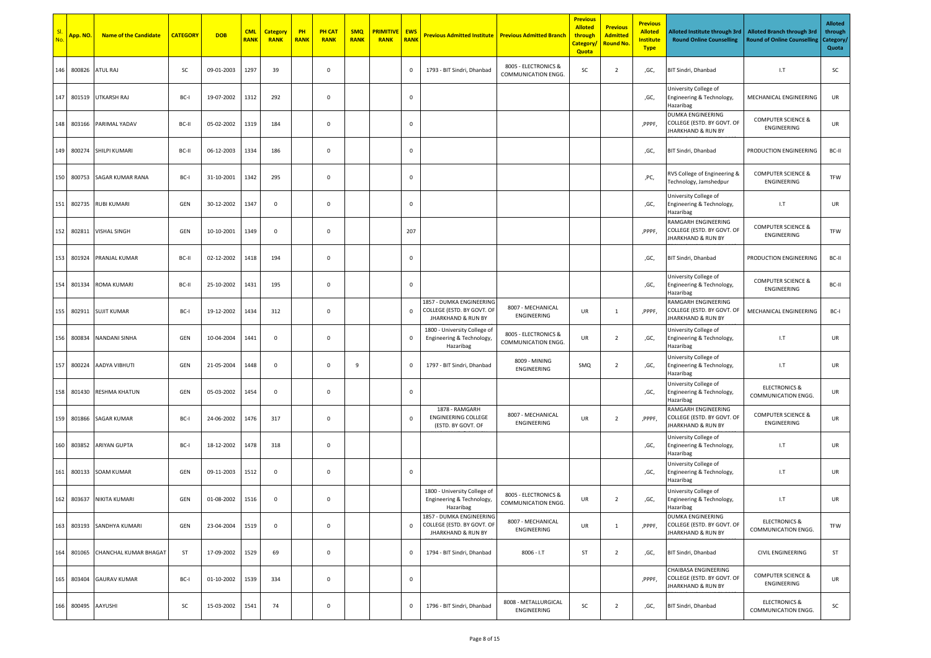| SI.<br>No. | App. NO. | <b>Name of the Candidate</b> | <b>CATEGORY</b> | <b>DOB</b> | <b>CML</b><br><b>RANK</b> | <b>Category</b><br><b>RANK</b> | PH<br><b>RANK</b> | <b>PH CAT</b><br><b>RANK</b> | <b>SMQ</b><br><b>RANK</b> | <b>PRIMITIVE</b><br><b>RANK</b> | <b>EWS</b><br><b>RANK</b> | <b>Previous Admitted Institute</b>                                                      | <b>Previous Admitted Branch</b>             | <b>Previous</b><br><b>Alloted</b><br>through<br><b>Category</b><br><b>Quota</b> | <b>Previous</b><br><b>Admitted</b><br><b>Round No.</b> | <b>Previous</b><br><b>Alloted</b><br><b>Institute</b><br><b>Type</b> | Alloted Institute through 3rd<br><b>Round Online Counselling</b>                 | <b>Alloted Branch through 3rd</b><br><b>Round of Online Counselling</b> | <b>Alloted</b><br>through<br>Category/<br>Quota |
|------------|----------|------------------------------|-----------------|------------|---------------------------|--------------------------------|-------------------|------------------------------|---------------------------|---------------------------------|---------------------------|-----------------------------------------------------------------------------------------|---------------------------------------------|---------------------------------------------------------------------------------|--------------------------------------------------------|----------------------------------------------------------------------|----------------------------------------------------------------------------------|-------------------------------------------------------------------------|-------------------------------------------------|
| 146        | 800826   | ATUL RAJ                     | <b>SC</b>       | 09-01-2003 | 1297                      | 39                             |                   | 0                            |                           |                                 | $\mathbf 0$               | 1793 - BIT Sindri, Dhanbad                                                              | 8005 - ELECTRONICS &<br>COMMUNICATION ENGG. | SC                                                                              | $\overline{2}$                                         | ,GC,                                                                 | BIT Sindri, Dhanbad                                                              | 1.7                                                                     | SC                                              |
| 147        | 801519   | UTKARSH RAJ                  | BC-I            | 19-07-2002 | 1312                      | 292                            |                   | 0                            |                           |                                 | $\mathbf 0$               |                                                                                         |                                             |                                                                                 |                                                        | ,GC,                                                                 | University College of<br>Engineering & Technology,<br>Hazaribag                  | MECHANICAL ENGINEERING                                                  | UR                                              |
| 148        | 803166   | PARIMAL YADAV                | BC-II           | 05-02-2002 | 1319                      | 184                            |                   | 0                            |                           |                                 | $\mathbf 0$               |                                                                                         |                                             |                                                                                 |                                                        | ,PPPF.                                                               | DUMKA ENGINEERING<br>COLLEGE (ESTD. BY GOVT. OF<br><b>JHARKHAND &amp; RUN BY</b> | <b>COMPUTER SCIENCE &amp;</b><br>ENGINEERING                            | UR                                              |
| 149        |          | 800274 SHILPI KUMARI         | BC-II           | 06-12-2003 | 1334                      | 186                            |                   | 0                            |                           |                                 | $\mathbf 0$               |                                                                                         |                                             |                                                                                 |                                                        | ,GC,                                                                 | BIT Sindri, Dhanbad                                                              | PRODUCTION ENGINEERING                                                  | BC-II                                           |
| 150        | 800753   | SAGAR KUMAR RANA             | BC-             | 31-10-2001 | 1342                      | 295                            |                   | 0                            |                           |                                 | $\mathbf 0$               |                                                                                         |                                             |                                                                                 |                                                        | ,PC,                                                                 | RVS College of Engineering &<br>Technology, Jamshedpur                           | <b>COMPUTER SCIENCE &amp;</b><br>ENGINEERING                            | TFW                                             |
| 151        | 802735   | <b>RUBI KUMARI</b>           | GEN             | 30-12-2002 | 1347                      | $\mathbf 0$                    |                   | 0                            |                           |                                 | $\mathbf 0$               |                                                                                         |                                             |                                                                                 |                                                        | ,GC,                                                                 | University College of<br>Engineering & Technology,<br>Hazaribag                  | I.T                                                                     | UR                                              |
| 152        | 802811   | <b>VISHAL SINGH</b>          | GEN             | 10-10-2001 | 1349                      | $\mathbf 0$                    |                   | 0                            |                           |                                 | 207                       |                                                                                         |                                             |                                                                                 |                                                        | ,PPPF,                                                               | RAMGARH ENGINEERING<br>COLLEGE (ESTD. BY GOVT. OF<br>JHARKHAND & RUN BY          | <b>COMPUTER SCIENCE &amp;</b><br>ENGINEERING                            | TFW                                             |
| 153        | 801924   | PRANJAL KUMAR                | BC-II           | 02-12-2002 | 1418                      | 194                            |                   | 0                            |                           |                                 | $\mathbf 0$               |                                                                                         |                                             |                                                                                 |                                                        | ,GC,                                                                 | BIT Sindri, Dhanbad                                                              | PRODUCTION ENGINEERING                                                  | BC-II                                           |
| 154        | 801334   | <b>ROMA KUMARI</b>           | BC-II           | 25-10-2002 | 1431                      | 195                            |                   | 0                            |                           |                                 | $\mathbf 0$               |                                                                                         |                                             |                                                                                 |                                                        | ,GC,                                                                 | University College of<br>Engineering & Technology,<br>Hazaribag                  | <b>COMPUTER SCIENCE &amp;</b><br>ENGINEERING                            | BC-II                                           |
| 155        | 802911   | <b>SUJIT KUMAR</b>           | BC-I            | 19-12-2002 | 1434                      | 312                            |                   | $\mathsf 0$                  |                           |                                 | $\mathbf 0$               | 1857 - DUMKA ENGINEERING<br>COLLEGE (ESTD. BY GOVT. OF<br><b>JHARKHAND &amp; RUN BY</b> | 8007 - MECHANICAL<br>ENGINEERING            | UR                                                                              | 1                                                      | ,PPPF,                                                               | RAMGARH ENGINEERING<br>COLLEGE (ESTD. BY GOVT. OF<br>JHARKHAND & RUN BY          | MECHANICAL ENGINEERING                                                  | BC-I                                            |
| 156        | 800834   | NANDANI SINHA                | GEN             | 10-04-2004 | 1441                      | $\mathbf 0$                    |                   | 0                            |                           |                                 | $\mathbf 0$               | 1800 - University College of<br>Engineering & Technology,<br>Hazaribag                  | 8005 - ELECTRONICS &<br>COMMUNICATION ENGG. | UR                                                                              | $\overline{2}$                                         | ,GC,                                                                 | University College of<br>Engineering & Technology,<br>Hazaribag                  | 1.7                                                                     | UR                                              |
| 157        | 800224   | AADYA VIBHUTI                | GEN             | 21-05-2004 | 1448                      | $\mathbf 0$                    |                   | 0                            | 9                         |                                 | 0                         | 1797 - BIT Sindri, Dhanbad                                                              | 8009 - MINING<br>ENGINEERING                | SMQ                                                                             | $\overline{2}$                                         | ,GC,                                                                 | University College of<br>Engineering & Technology,<br>Hazaribag                  | 1.7                                                                     | UR                                              |
| 158        | 801430   | <b>RESHMA KHATUN</b>         | GEN             | 05-03-2002 | 1454                      | $\mathbf 0$                    |                   | 0                            |                           |                                 | $\mathbf 0$               |                                                                                         |                                             |                                                                                 |                                                        | ,GC,                                                                 | University College of<br>Engineering & Technology,<br>Hazaribag                  | <b>ELECTRONICS &amp;</b><br>COMMUNICATION ENGG.                         | UR                                              |
| 159        |          | 801866 SAGAR KUMAR           | BC-I            | 24-06-2002 | 1476                      | 317                            |                   | 0                            |                           |                                 | $\mathbf 0$               | 1878 - RAMGARH<br><b>ENGINEERING COLLEGE</b><br>(ESTD. BY GOVT. OF                      | 8007 - MECHANICAL<br>ENGINEERING            | UR                                                                              | $\overline{2}$                                         | ,PPPF,                                                               | RAMGARH ENGINEERING<br>COLLEGE (ESTD. BY GOVT. OF<br>JHARKHAND & RUN BY          | <b>COMPUTER SCIENCE &amp;</b><br>ENGINEERING                            | UR                                              |
| 160        | 803852   | <b>ARIYAN GUPTA</b>          | BC-I            | 18-12-2002 | 1478                      | 318                            |                   | 0                            |                           |                                 |                           |                                                                                         |                                             |                                                                                 |                                                        | ,GC,                                                                 | University College of<br>Engineering & Technology,<br>Hazaribag                  | 1.7                                                                     | UR                                              |
| 161        |          | 800133 SOAM KUMAR            | GEN             | 09-11-2003 | 1512                      | $\mathbf 0$                    |                   | 0                            |                           |                                 | $\mathbf 0$               |                                                                                         |                                             |                                                                                 |                                                        | ,GC,                                                                 | Jniversity College of<br>Engineering & Technology,<br>Hazaribag                  | 1.7                                                                     | UR                                              |
| 162        |          | 803637 NIKITA KUMARI         | GEN             | 01-08-2002 | 1516                      | $\mathbf 0$                    |                   | 0                            |                           |                                 |                           | 1800 - University College of<br>Engineering & Technology,<br>Hazaribag                  | 8005 - ELECTRONICS &<br>COMMUNICATION ENGG. | UR                                                                              | $\overline{2}$                                         | ,GC,                                                                 | Jniversity College of<br>Engineering & Technology,<br>Hazaribag                  | I.T                                                                     | UR                                              |
| 163        |          | 803193 SANDHYA KUMARI        | GEN             | 23-04-2004 | 1519                      | $\mathbf 0$                    |                   | $\mathbf 0$                  |                           |                                 | $\mathbf 0$               | 1857 - DUMKA ENGINEERING<br>COLLEGE (ESTD. BY GOVT. OF<br><b>JHARKHAND &amp; RUN BY</b> | 8007 - MECHANICAL<br>ENGINEERING            | UR                                                                              | $\mathbf{1}$                                           | ,PPPF,                                                               | DUMKA ENGINEERING<br>COLLEGE (ESTD. BY GOVT. OF<br><b>JHARKHAND &amp; RUN BY</b> | <b>ELECTRONICS &amp;</b><br><b>COMMUNICATION ENGG.</b>                  | TFW                                             |
| 164        |          | 801065 CHANCHAL KUMAR BHAGAT | <b>ST</b>       | 17-09-2002 | 1529                      | 69                             |                   | $\mathsf 0$                  |                           |                                 | $\mathbf 0$               | 1794 - BIT Sindri, Dhanbad                                                              | $8006 - I.T$                                | ST                                                                              | $\overline{2}$                                         | ,GC,                                                                 | BIT Sindri, Dhanbad                                                              | CIVIL ENGINEERING                                                       | ST                                              |
| 165        |          | 803404 GAURAV KUMAR          | BC-I            | 01-10-2002 | 1539                      | 334                            |                   | $\mathsf{O}\xspace$          |                           |                                 | $\mathbf 0$               |                                                                                         |                                             |                                                                                 |                                                        | ,PPPF,                                                               | CHAIBASA ENGINEERING<br>COLLEGE (ESTD. BY GOVT. OF<br>JHARKHAND & RUN BY         | <b>COMPUTER SCIENCE &amp;</b><br>ENGINEERING                            | UR                                              |
| 166        |          | 800495 AAYUSHI               | SC              | 15-03-2002 | 1541                      | 74                             |                   | $\mathsf 0$                  |                           |                                 | $\mathbf 0$               | 1796 - BIT Sindri, Dhanbad                                                              | 8008 - METALLURGICAL<br>ENGINEERING         | SC                                                                              | $\overline{2}$                                         | ,GC,                                                                 | BIT Sindri, Dhanbad                                                              | <b>ELECTRONICS &amp;</b><br>COMMUNICATION ENGG.                         | SC                                              |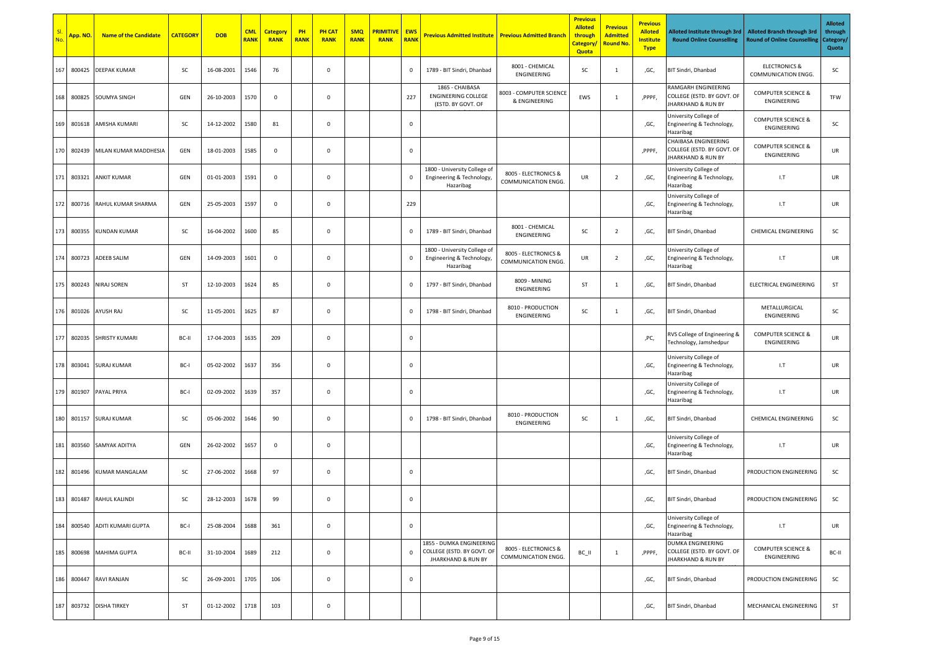| SI.<br>No. | <mark>Арр. NO.</mark> | <b>Name of the Candidate</b> | <b>CATEGORY</b> | <b>DOB</b> | <b>CML</b><br><b>RANK</b> | <b>Category</b><br><b>RANK</b> | PH<br><b>RANK</b> | <b>PH CAT</b><br><b>RANK</b> | <b>SMQ</b><br><b>RANK</b> | <mark>PRIMITIVE</mark><br><b>RANK</b> | <b>EWS</b><br><b>RANK</b> | <b>Previous Admitted Institute Previous Admitted Branch</b>                             |                                             | <b>Previous</b><br><b>Alloted</b><br>through<br>Category,<br>Quota | <b>Previous</b><br><b>Admitted</b><br><mark>Round No.</mark> | <b>Previous</b><br><b>Alloted</b><br><b>Institute</b><br><b>Type</b> | Alloted Institute through 3rd<br><b>Round Online Counselling</b>             | <b>Alloted Branch through 3rd</b><br><b>Round of Online Counselling</b> | <b>Alloted</b><br>through<br>Category/<br>Quota |
|------------|-----------------------|------------------------------|-----------------|------------|---------------------------|--------------------------------|-------------------|------------------------------|---------------------------|---------------------------------------|---------------------------|-----------------------------------------------------------------------------------------|---------------------------------------------|--------------------------------------------------------------------|--------------------------------------------------------------|----------------------------------------------------------------------|------------------------------------------------------------------------------|-------------------------------------------------------------------------|-------------------------------------------------|
| 167        | 800425                | <b>DEEPAK KUMAR</b>          | SC              | 16-08-2001 | 1546                      | 76                             |                   | $\mathbf 0$                  |                           |                                       | $\mathbf 0$               | 1789 - BIT Sindri, Dhanbad                                                              | 8001 - CHEMICAL<br>ENGINEERING              | SC                                                                 | 1                                                            | ,GC,                                                                 | BIT Sindri, Dhanbad                                                          | <b>ELECTRONICS &amp;</b><br>COMMUNICATION ENGG.                         | SC                                              |
| 168        | 800825                | <b>SOUMYA SINGH</b>          | GEN             | 26-10-2003 | 1570                      | 0                              |                   | $\mathbf 0$                  |                           |                                       | 227                       | 1865 - CHAIBASA<br><b>ENGINEERING COLLEGE</b><br>(ESTD. BY GOVT. OF                     | 8003 - COMPUTER SCIENCE<br>& ENGINEERING    | EWS                                                                | 1                                                            | ,PPPF,                                                               | RAMGARH ENGINEERING<br>COLLEGE (ESTD. BY GOVT. OF<br>JHARKHAND & RUN BY      | <b>COMPUTER SCIENCE &amp;</b><br>ENGINEERING                            | TFW                                             |
|            | 169 801618            | AMISHA KUMARI                | SC              | 14-12-2002 | 1580                      | 81                             |                   | $\mathbf 0$                  |                           |                                       | $\mathbf 0$               |                                                                                         |                                             |                                                                    |                                                              | ,GC,                                                                 | University College of<br>Engineering & Technology,<br>Hazaribag              | <b>COMPUTER SCIENCE &amp;</b><br>ENGINEERING                            | SC                                              |
|            | 170 802439            | MILAN KUMAR MADDHESIA        | GEN             | 18-01-2003 | 1585                      | $\mathsf 0$                    |                   | $\mathsf 0$                  |                           |                                       | $\mathbf 0$               |                                                                                         |                                             |                                                                    |                                                              | ,PPPF,                                                               | CHAIBASA ENGINEERING<br>COLLEGE (ESTD. BY GOVT. OF<br>JHARKHAND & RUN BY     | <b>COMPUTER SCIENCE &amp;</b><br>ENGINEERING                            | UR                                              |
| 171        | 803321                | <b>ANKIT KUMAR</b>           | GEN             | 01-01-2003 | 1591                      | 0                              |                   | $\mathbf 0$                  |                           |                                       | $\mathbf 0$               | 1800 - University College of<br>Engineering & Technology,<br>Hazaribag                  | 8005 - ELECTRONICS &<br>COMMUNICATION ENGG. | UR                                                                 | $\overline{2}$                                               | ,GC,                                                                 | University College of<br>Engineering & Technology,<br>Hazaribag              | 1.7                                                                     | UR                                              |
| 172        | 800716                | RAHUL KUMAR SHARMA           | GEN             | 25-05-2003 | 1597                      | 0                              |                   | $\mathbf 0$                  |                           |                                       | 229                       |                                                                                         |                                             |                                                                    |                                                              | ,GC,                                                                 | University College of<br>Engineering & Technology,<br>Hazaribag              | 1.7                                                                     | UR                                              |
|            | 173 800355            | <b>KUNDAN KUMAR</b>          | SC              | 16-04-2002 | 1600                      | 85                             |                   | $\mathbf 0$                  |                           |                                       | $\mathbf 0$               | 1789 - BIT Sindri, Dhanbad                                                              | 8001 - CHEMICAL<br>ENGINEERING              | SC                                                                 | $\overline{2}$                                               | ,GC,                                                                 | BIT Sindri, Dhanbad                                                          | CHEMICAL ENGINEERING                                                    | SC                                              |
| 174        | 800723                | <b>ADEEB SALIM</b>           | GEN             | 14-09-2003 | 1601                      | 0                              |                   | $\mathbf 0$                  |                           |                                       | $\mathbf 0$               | 1800 - University College of<br>Engineering & Technology,<br>Hazaribag                  | 8005 - ELECTRONICS &<br>COMMUNICATION ENGG. | UR                                                                 | $\overline{2}$                                               | ,GC,                                                                 | University College of<br>Engineering & Technology,<br>Hazaribag              | 1.7                                                                     | UR                                              |
| 175        | 800243                | <b>NIRAJ SOREN</b>           | ST              | 12-10-2003 | 1624                      | 85                             |                   | $\mathbf 0$                  |                           |                                       | $\mathbf 0$               | 1797 - BIT Sindri, Dhanbad                                                              | 8009 - MINING<br>ENGINEERING                | ST                                                                 | $\mathbf{1}$                                                 | ,GC,                                                                 | BIT Sindri, Dhanbad                                                          | ELECTRICAL ENGINEERING                                                  | ST                                              |
| 176        | 801026                | AYUSH RAJ                    | SC              | 11-05-2001 | 1625                      | 87                             |                   | $\mathbf 0$                  |                           |                                       | $\mathbf 0$               | 1798 - BIT Sindri, Dhanbad                                                              | 8010 - PRODUCTION<br>ENGINEERING            | SC                                                                 | $\mathbf{1}$                                                 | ,GC,                                                                 | BIT Sindri, Dhanbad                                                          | METALLURGICAL<br>ENGINEERING                                            | SC                                              |
| 177        | 802035                | <b>SHRISTY KUMARI</b>        | BC-II           | 17-04-2003 | 1635                      | 209                            |                   | $\mathbf 0$                  |                           |                                       | $\mathbf 0$               |                                                                                         |                                             |                                                                    |                                                              | ,PC,                                                                 | RVS College of Engineering &<br>Technology, Jamshedpur                       | <b>COMPUTER SCIENCE &amp;</b><br>ENGINEERING                            | UR                                              |
| 178        | 803041                | <b>SURAJ KUMAR</b>           | BC-I            | 05-02-2002 | 1637                      | 356                            |                   | $\mathbf 0$                  |                           |                                       | $\mathbf 0$               |                                                                                         |                                             |                                                                    |                                                              | ,GC,                                                                 | University College of<br>Engineering & Technology,<br>Hazaribag              | 1.7                                                                     | UR                                              |
| 179        | 801907                | PAYAL PRIYA                  | BC-I            | 02-09-2002 | 1639                      | 357                            |                   | $\mathbf 0$                  |                           |                                       | $\mathbf 0$               |                                                                                         |                                             |                                                                    |                                                              | ,GC,                                                                 | University College of<br>Engineering & Technology,<br>Hazaribag              | 1.7                                                                     | UR                                              |
| 180        |                       | 801157 SURAJ KUMAR           | SC              | 05-06-2002 | 1646                      | 90                             |                   | $\mathbf 0$                  |                           |                                       | $\mathbf 0$               | 1798 - BIT Sindri, Dhanbad                                                              | 8010 - PRODUCTION<br>ENGINEERING            | SC                                                                 | $\mathbf{1}$                                                 | ,GC,                                                                 | BIT Sindri, Dhanbad                                                          | CHEMICAL ENGINEERING                                                    | SC                                              |
| 181        | 803560                | SAMYAK ADITYA                | GEN             | 26-02-2002 | 1657                      | 0                              |                   | $\mathbf 0$                  |                           |                                       |                           |                                                                                         |                                             |                                                                    |                                                              | ,GC,                                                                 | University College of<br>Engineering & Technology,<br>Hazaribag              | 1.7                                                                     | UR                                              |
| 182        |                       | 801496 KUMAR MANGALAM        | SC              | 27-06-2002 | 1668                      | 97                             |                   | $\mathbf 0$                  |                           |                                       | $\mathbf 0$               |                                                                                         |                                             |                                                                    |                                                              | ,GC,                                                                 | BIT Sindri, Dhanbad                                                          | PRODUCTION ENGINEERING                                                  | SC                                              |
|            |                       | 183 801487 RAHUL KALINDI     | SC              | 28-12-2003 | 1678                      | 99                             |                   | $\mathbf 0$                  |                           |                                       | $\mathbf 0$               |                                                                                         |                                             |                                                                    |                                                              | ,GC,                                                                 | <b>BIT Sindri, Dhanbad</b>                                                   | PRODUCTION ENGINEERING                                                  | SC                                              |
| 184        | 800540                | ADITI KUMARI GUPTA           | BC-I            | 25-08-2004 | 1688                      | 361                            |                   | $\mathbf 0$                  |                           |                                       | $\mathbf 0$               |                                                                                         |                                             |                                                                    |                                                              | ,GC,                                                                 | University College of<br>Engineering & Technology,<br>Hazaribag              | I.T                                                                     | UR                                              |
| 185        |                       | 800698 MAHIMA GUPTA          | BC-II           | 31-10-2004 | 1689                      | 212                            |                   | $\mathbf 0$                  |                           |                                       | $\mathbf 0$               | 1855 - DUMKA ENGINEERING<br>COLLEGE (ESTD. BY GOVT. OF<br><b>JHARKHAND &amp; RUN BY</b> | 8005 - ELECTRONICS &<br>COMMUNICATION ENGG. | BC_II                                                              | <sup>1</sup>                                                 | ,PPPF,                                                               | <b>DUMKA ENGINEERING</b><br>COLLEGE (ESTD. BY GOVT. OF<br>JHARKHAND & RUN BY | <b>COMPUTER SCIENCE &amp;</b><br>ENGINEERING                            | BC-II                                           |
| 186        |                       | 800447 RAVI RANJAN           | SC              | 26-09-2001 | 1705                      | 106                            |                   | $\mathbf 0$                  |                           |                                       | $\,0\,$                   |                                                                                         |                                             |                                                                    |                                                              | ,GC,                                                                 | BIT Sindri, Dhanbad                                                          | PRODUCTION ENGINEERING                                                  | SC                                              |
|            |                       | 187 803732 DISHA TIRKEY      | ST              | 01-12-2002 | 1718                      | 103                            |                   | $\mathsf 0$                  |                           |                                       |                           |                                                                                         |                                             |                                                                    |                                                              | ,GC,                                                                 | BIT Sindri, Dhanbad                                                          | MECHANICAL ENGINEERING                                                  | <b>ST</b>                                       |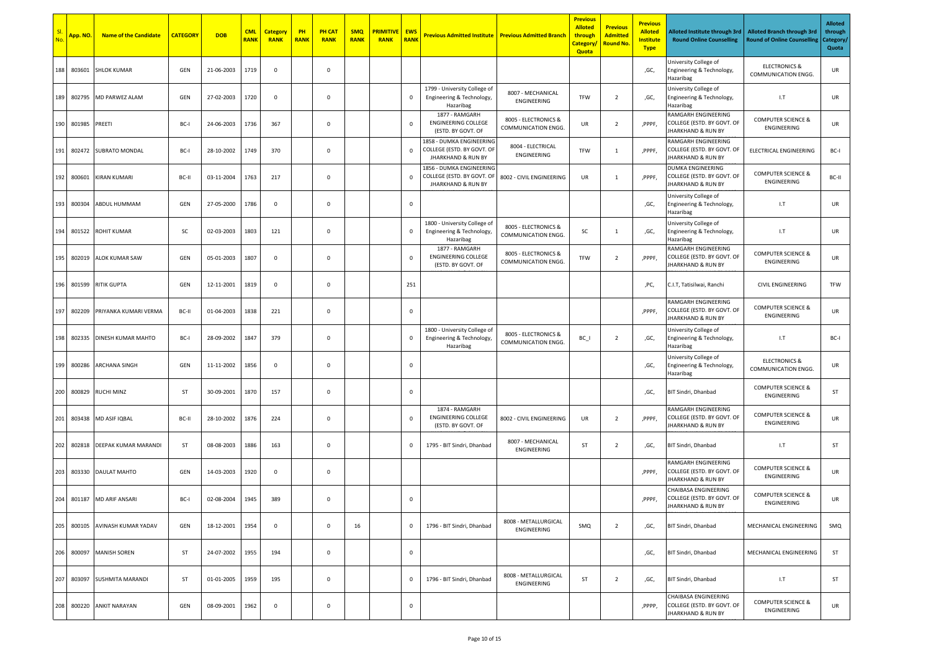| No. | <mark>Арр. NO.</mark> | <b>Name of the Candidate</b> | <b>CATEGORY</b> | <b>DOB</b> | <b>CML</b><br><b>RANK</b> | <b>Category</b><br><b>RANK</b> | PH<br><b>RANK</b> | <b>PH CAT</b><br><b>RANK</b> | <b>SMQ</b><br><b>RANK</b> | <b>PRIMITIVE</b><br><b>RANK</b> | <b>EWS</b><br><b>RANK</b> | <b>Previous Admitted Institute   Previous Admitted Branch</b>                           |                                             | <b>Previous</b><br><b>Alloted</b><br>through<br>Category/<br>Quota | <b>Previous</b><br><b>Admitted</b><br><b>Round No.</b> | <b>Previous</b><br><b>Alloted</b><br><b>Institute</b><br><b>Type</b> | Alloted Institute through 3rd<br><b>Round Online Counselling</b>                   | <b>Alloted Branch through 3rd</b><br><b>Round of Online Counselling</b> | <b>Alloted</b><br>through<br>Category/<br>Quota |
|-----|-----------------------|------------------------------|-----------------|------------|---------------------------|--------------------------------|-------------------|------------------------------|---------------------------|---------------------------------|---------------------------|-----------------------------------------------------------------------------------------|---------------------------------------------|--------------------------------------------------------------------|--------------------------------------------------------|----------------------------------------------------------------------|------------------------------------------------------------------------------------|-------------------------------------------------------------------------|-------------------------------------------------|
| 188 | 803601                | <b>SHLOK KUMAR</b>           | GEN             | 21-06-2003 | 1719                      | $\mathbf 0$                    |                   | 0                            |                           |                                 |                           |                                                                                         |                                             |                                                                    |                                                        | ,GC,                                                                 | University College of<br>Engineering & Technology,<br>Hazaribag                    | <b>ELECTRONICS &amp;</b><br><b>COMMUNICATION ENGG.</b>                  | UR                                              |
|     | 189 802795            | MD PARWEZ ALAM               | GEN             | 27-02-2003 | 1720                      | $\mathbf 0$                    |                   | 0                            |                           |                                 | $\mathbf 0$               | 1799 - University College of<br>Engineering & Technology,<br>Hazaribag                  | 8007 - MECHANICAL<br>ENGINEERING            | TFW                                                                | $\overline{2}$                                         | ,GC,                                                                 | University College of<br>Engineering & Technology,<br>Hazaribag                    | 1.7                                                                     | UR                                              |
|     | 190 801985            | PREETI                       | BC-             | 24-06-2003 | 1736                      | 367                            |                   | 0                            |                           |                                 | $\mathbf 0$               | 1877 - RAMGARH<br><b>ENGINEERING COLLEGE</b><br>(ESTD. BY GOVT. OF                      | 8005 - ELECTRONICS &<br>COMMUNICATION ENGG. | UR                                                                 | $\overline{2}$                                         | ,PPPF,                                                               | RAMGARH ENGINEERING<br>COLLEGE (ESTD. BY GOVT. OF<br><b>JHARKHAND &amp; RUN BY</b> | <b>COMPUTER SCIENCE &amp;</b><br>ENGINEERING                            | UR                                              |
| 191 | 802472                | <b>SUBRATO MONDAL</b>        | BC-I            | 28-10-2002 | 1749                      | 370                            |                   | 0                            |                           |                                 | $\mathbf 0$               | 1858 - DUMKA ENGINEERING<br>COLLEGE (ESTD. BY GOVT. OF<br><b>JHARKHAND &amp; RUN BY</b> | 8004 - ELECTRICAL<br>ENGINEERING            | TFW                                                                | 1                                                      | ,PPPF,                                                               | RAMGARH ENGINEERING<br>COLLEGE (ESTD. BY GOVT. OF<br>JHARKHAND & RUN BY            | ELECTRICAL ENGINEERING                                                  | BC-I                                            |
| 192 | 800601                | <b>KIRAN KUMARI</b>          | BC-II           | 03-11-2004 | 1763                      | 217                            |                   | 0                            |                           |                                 | $\mathbf 0$               | 1856 - DUMKA ENGINEERING<br>COLLEGE (ESTD. BY GOVT. OF<br><b>JHARKHAND &amp; RUN BY</b> | 8002 - CIVIL ENGINEERING                    | UR                                                                 | 1                                                      | ,PPPF,                                                               | DUMKA ENGINEERING<br>COLLEGE (ESTD. BY GOVT. OF<br>JHARKHAND & RUN BY              | <b>COMPUTER SCIENCE &amp;</b><br>ENGINEERING                            | BC-II                                           |
| 193 | 800304                | ABDUL HUMMAM                 | GEN             | 27-05-2000 | 1786                      | $\mathbf 0$                    |                   | 0                            |                           |                                 | $\mathbf 0$               |                                                                                         |                                             |                                                                    |                                                        | ,GC,                                                                 | University College of<br>Engineering & Technology,<br>Hazaribag                    | 1.7                                                                     | UR                                              |
| 194 |                       | 801522 ROHIT KUMAR           | SC              | 02-03-2003 | 1803                      | 121                            |                   | $\mathsf 0$                  |                           |                                 | $\mathbf 0$               | 1800 - University College of<br>Engineering & Technology,<br>Hazaribag                  | 8005 - ELECTRONICS &<br>COMMUNICATION ENGG. | SC                                                                 | 1                                                      | ,GC,                                                                 | University College of<br>Engineering & Technology,<br>Hazaribag                    | 1.7                                                                     | UR                                              |
| 195 | 802019                | ALOK KUMAR SAW               | GEN             | 05-01-2003 | 1807                      | $\mathbf 0$                    |                   | $\mathsf 0$                  |                           |                                 | $\mathbf 0$               | 1877 - RAMGARH<br><b>ENGINEERING COLLEGE</b><br>(ESTD. BY GOVT. OF                      | 8005 - ELECTRONICS &<br>COMMUNICATION ENGG. | TFW                                                                | $\overline{2}$                                         | ,PPPF,                                                               | RAMGARH ENGINEERING<br>COLLEGE (ESTD. BY GOVT. OF<br>JHARKHAND & RUN BY            | <b>COMPUTER SCIENCE &amp;</b><br>ENGINEERING                            | UR                                              |
| 196 | 801599                | <b>RITIK GUPTA</b>           | GEN             | 12-11-2001 | 1819                      | $\mathsf 0$                    |                   | $\mathsf 0$                  |                           |                                 | 251                       |                                                                                         |                                             |                                                                    |                                                        | ,PC,                                                                 | C.I.T, Tatisilwai, Ranchi                                                          | <b>CIVIL ENGINEERING</b>                                                | TFW                                             |
| 197 | 802209                | PRIYANKA KUMARI VERMA        | BC-II           | 01-04-2003 | 1838                      | 221                            |                   | 0                            |                           |                                 | $\mathbf 0$               |                                                                                         |                                             |                                                                    |                                                        | ,PPPF,                                                               | RAMGARH ENGINEERING<br>COLLEGE (ESTD. BY GOVT. OF<br>JHARKHAND & RUN BY            | <b>COMPUTER SCIENCE &amp;</b><br>ENGINEERING                            | UR                                              |
| 198 | 802335                | DINESH KUMAR MAHTO           | BC-I            | 28-09-2002 | 1847                      | 379                            |                   | 0                            |                           |                                 | $\mathbf 0$               | 1800 - University College of<br>Engineering & Technology,<br>Hazaribag                  | 8005 - ELECTRONICS &<br>COMMUNICATION ENGG. | $BC_$                                                              | $\overline{2}$                                         | ,GC,                                                                 | University College of<br>Engineering & Technology,<br>Hazaribag                    | 1.7                                                                     | BC-I                                            |
| 199 | 800286                | <b>ARCHANA SINGH</b>         | GEN             | 11-11-2002 | 1856                      | $\mathbf 0$                    |                   | 0                            |                           |                                 | $\mathbf 0$               |                                                                                         |                                             |                                                                    |                                                        | ,GC,                                                                 | Jniversity College of<br>Engineering & Technology,<br>Hazaribag                    | <b>ELECTRONICS &amp;</b><br>COMMUNICATION ENGG.                         | UR                                              |
| 200 |                       | 800829 RUCHI MINZ            | <b>ST</b>       | 30-09-2001 | 1870                      | 157                            |                   | 0                            |                           |                                 | $\mathbf 0$               |                                                                                         |                                             |                                                                    |                                                        | ,GC,                                                                 | BIT Sindri, Dhanbad                                                                | <b>COMPUTER SCIENCE &amp;</b><br>ENGINEERING                            | ST                                              |
| 201 |                       | 803438 MD ASIF IQBAL         | BC-II           | 28-10-2002 | 1876                      | 224                            |                   | $\mathsf 0$                  |                           |                                 | $\mathbf 0$               | 1874 - RAMGARH<br><b>ENGINEERING COLLEGE</b><br>(ESTD. BY GOVT. OF                      | 8002 - CIVIL ENGINEERING                    | UR                                                                 | $\overline{2}$                                         | ,PPPF,                                                               | RAMGARH ENGINEERING<br>COLLEGE (ESTD. BY GOVT. OF<br>JHARKHAND & RUN BY            | <b>COMPUTER SCIENCE &amp;</b><br>ENGINEERING                            | UR                                              |
| 202 | 802818                | DEEPAK KUMAR MARANDI         | <b>ST</b>       | 08-08-2003 | 1886                      | 163                            |                   | 0                            |                           |                                 | $\mathbf 0$               | 1795 - BIT Sindri, Dhanbad                                                              | 8007 - MECHANICAL<br>ENGINEERING            | ST                                                                 | $\overline{2}$                                         | ,GC,                                                                 | BIT Sindri, Dhanbad                                                                | 1.7                                                                     | ST                                              |
| 203 |                       | 803330 DAULAT MAHTO          | GEN             | 14-03-2003 | 1920                      | $\mathbf 0$                    |                   | 0                            |                           |                                 |                           |                                                                                         |                                             |                                                                    |                                                        | ,PPPF,                                                               | RAMGARH ENGINEERING<br>COLLEGE (ESTD. BY GOVT. OF<br>JHARKHAND & RUN BY            | <b>COMPUTER SCIENCE &amp;</b><br>ENGINEERING                            | UR                                              |
|     |                       | 204 801187 MD ARIF ANSARI    | BC-I            | 02-08-2004 | 1945                      | 389                            |                   | 0                            |                           |                                 | $\mathbf 0$               |                                                                                         |                                             |                                                                    |                                                        | ,PPPF,                                                               | CHAIBASA ENGINEERING<br>COLLEGE (ESTD. BY GOVT. OF<br>JHARKHAND & RUN BY           | <b>COMPUTER SCIENCE &amp;</b><br>ENGINEERING                            | UR                                              |
| 205 | 800105                | AVINASH KUMAR YADAV          | GEN             | 18-12-2001 | 1954                      | $\mathsf 0$                    |                   | $\mathsf 0$                  | 16                        |                                 | $\mathbf 0$               | 1796 - BIT Sindri, Dhanbad                                                              | 8008 - METALLURGICAL<br>ENGINEERING         | SMQ                                                                | $\overline{2}$                                         | ,GC,                                                                 | BIT Sindri, Dhanbad                                                                | MECHANICAL ENGINEERING                                                  | SMQ                                             |
| 206 | 800097                | <b>MANISH SOREN</b>          | <b>ST</b>       | 24-07-2002 | 1955                      | 194                            |                   | $\mathsf 0$                  |                           |                                 | $\,0\,$                   |                                                                                         |                                             |                                                                    |                                                        | ,GC,                                                                 | BIT Sindri, Dhanbad                                                                | MECHANICAL ENGINEERING                                                  | ST                                              |
| 207 | 803097                | <b>SUSHMITA MARANDI</b>      | <b>ST</b>       | 01-01-2005 | 1959                      | 195                            |                   | $\mathsf 0$                  |                           |                                 | $\mathbf 0$               | 1796 - BIT Sindri, Dhanbad                                                              | 8008 - METALLURGICAL<br>ENGINEERING         | ST                                                                 | $\overline{2}$                                         | ,GC,                                                                 | BIT Sindri, Dhanbad                                                                | 1.7                                                                     | ST                                              |
| 208 | 800220                | <b>ANKIT NARAYAN</b>         | GEN             | 08-09-2001 | 1962                      | 0                              |                   | 0                            |                           |                                 | $\mathbf 0$               |                                                                                         |                                             |                                                                    |                                                        | ,PPPP,                                                               | CHAIBASA ENGINEERING<br>COLLEGE (ESTD. BY GOVT. OF<br>JHARKHAND & RUN BY           | <b>COMPUTER SCIENCE &amp;</b><br>ENGINEERING                            | UR                                              |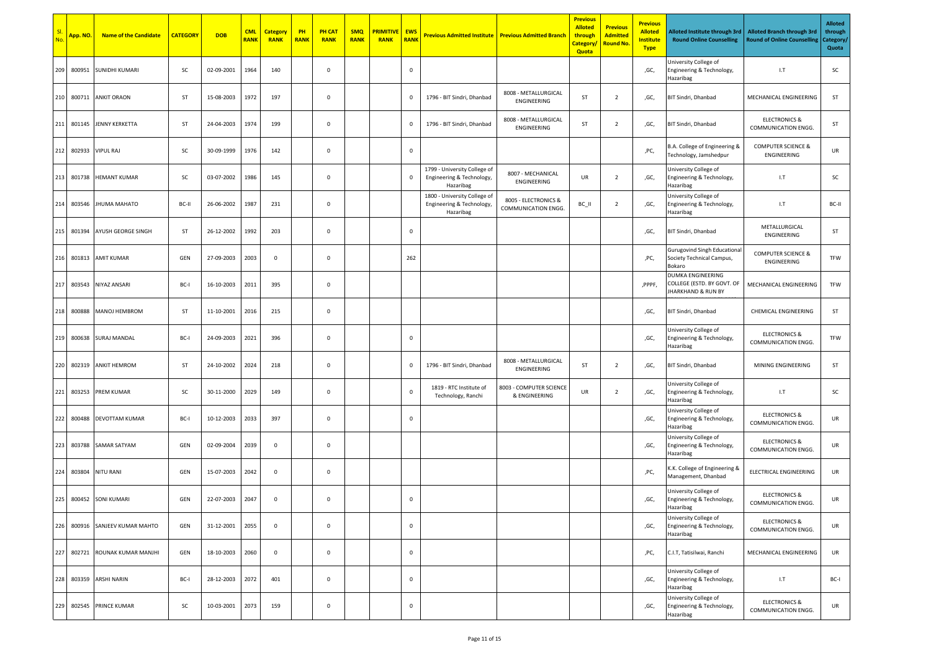|     | App. NO.   | <b>Name of the Candidate</b> | <b>CATEGORY</b> | <b>DOB</b> | <b>CML</b><br><b>RANK</b> | <b>Category</b><br><b>RANK</b> | PH<br><b>RANK</b> | <b>PH CAT</b><br><b>RANK</b> | <b>SMQ</b><br><b>RANK</b> | <b>PRIMITIVE</b><br><b>RANK</b> | <b>EWS</b><br><b>RANK</b> | <b>Previous Admitted Institute   Previous Admitted Branch</b>          |                                             | <b>Previous</b><br><b>Alloted</b><br>through<br>Category/<br><b>Quota</b> | <b>Previous</b><br><b>Admitted</b><br><b>Round No.</b> | <b>Previous</b><br><b>Alloted</b><br><b>Institute</b><br><b>Type</b> | Alloted Institute through 3rd<br><b>Round Online Counselling</b>                 | <b>Alloted Branch through 3rd</b><br><b>Round of Online Counselling</b> | <b>Alloted</b><br>through<br>Category/<br>Quota |
|-----|------------|------------------------------|-----------------|------------|---------------------------|--------------------------------|-------------------|------------------------------|---------------------------|---------------------------------|---------------------------|------------------------------------------------------------------------|---------------------------------------------|---------------------------------------------------------------------------|--------------------------------------------------------|----------------------------------------------------------------------|----------------------------------------------------------------------------------|-------------------------------------------------------------------------|-------------------------------------------------|
| 209 | 800951     | <b>SUNIDHI KUMARI</b>        | SC              | 02-09-2001 | 1964                      | 140                            |                   | $\mathbf 0$                  |                           |                                 | $\mathbf 0$               |                                                                        |                                             |                                                                           |                                                        | ,GC,                                                                 | University College of<br>Engineering & Technology,<br>Hazaribag                  | 1.7                                                                     | SC                                              |
|     | 210 800711 | <b>ANKIT ORAON</b>           | ST              | 15-08-2003 | 1972                      | 197                            |                   | $\mathbf 0$                  |                           |                                 | $\mathbf 0$               | 1796 - BIT Sindri, Dhanbad                                             | 8008 - METALLURGICAL<br>ENGINEERING         | ST                                                                        | $\overline{2}$                                         | ,GC,                                                                 | BIT Sindri, Dhanbad                                                              | MECHANICAL ENGINEERING                                                  | ST                                              |
| 211 | 801145     | JENNY KERKETTA               | ST              | 24-04-2003 | 1974                      | 199                            |                   | $\mathbf 0$                  |                           |                                 | $\mathbf 0$               | 1796 - BIT Sindri, Dhanbad                                             | 8008 - METALLURGICAL<br>ENGINEERING         | ST                                                                        | $\overline{2}$                                         | ,GC,                                                                 | BIT Sindri, Dhanbad                                                              | <b>ELECTRONICS &amp;</b><br>COMMUNICATION ENGG.                         | ST                                              |
| 212 | 802933     | <b>VIPUL RAJ</b>             | SC              | 30-09-1999 | 1976                      | 142                            |                   | $\mathbf 0$                  |                           |                                 | $\mathbf 0$               |                                                                        |                                             |                                                                           |                                                        | ,PC,                                                                 | B.A. College of Engineering &<br>Technology, Jamshedpur                          | <b>COMPUTER SCIENCE &amp;</b><br>ENGINEERING                            | UR                                              |
| 213 | 801738     | <b>HEMANT KUMAR</b>          | <b>SC</b>       | 03-07-2002 | 1986                      | 145                            |                   | $\mathbf 0$                  |                           |                                 | $\mathbf 0$               | 1799 - University College of<br>Engineering & Technology,<br>Hazaribag | 8007 - MECHANICAL<br>ENGINEERING            | UR                                                                        | $\overline{2}$                                         | ,GC,                                                                 | University College of<br>Engineering & Technology,<br>Hazaribag                  | 1.7                                                                     | SC                                              |
| 214 | 803546     | <b>JHUMA MAHATO</b>          | BC-II           | 26-06-2002 | 1987                      | 231                            |                   | $\mathbf 0$                  |                           |                                 |                           | 1800 - University College of<br>Engineering & Technology,<br>Hazaribag | 8005 - ELECTRONICS &<br>COMMUNICATION ENGG. | BC_II                                                                     | $\overline{2}$                                         | ,GC,                                                                 | University College of<br>Engineering & Technology,<br>Hazaribag                  | 1.7                                                                     | BC-II                                           |
| 215 | 801394     | AYUSH GEORGE SINGH           | ST              | 26-12-2002 | 1992                      | 203                            |                   | $\mathbf 0$                  |                           |                                 | $\mathbf 0$               |                                                                        |                                             |                                                                           |                                                        | ,GC,                                                                 | BIT Sindri, Dhanbad                                                              | METALLURGICAL<br>ENGINEERING                                            | ST                                              |
| 216 | 801813     | <b>AMIT KUMAR</b>            | GEN             | 27-09-2003 | 2003                      | $\mathbf 0$                    |                   | $\mathbf 0$                  |                           |                                 | 262                       |                                                                        |                                             |                                                                           |                                                        | ,PC,                                                                 | <b>Gurugovind Singh Educational</b><br>Society Technical Campus,<br>Bokaro       | <b>COMPUTER SCIENCE &amp;</b><br>ENGINEERING                            | TFW                                             |
| 217 | 803543     | NIYAZ ANSARI                 | BC-I            | 16-10-2003 | 2011                      | 395                            |                   | $\mathbf 0$                  |                           |                                 |                           |                                                                        |                                             |                                                                           |                                                        | ,PPPF,                                                               | DUMKA ENGINEERING<br>COLLEGE (ESTD. BY GOVT. OF<br><b>JHARKHAND &amp; RUN BY</b> | MECHANICAL ENGINEERING                                                  | TFW                                             |
| 218 | 800888     | <b>MANOJ HEMBROM</b>         | ST              | 11-10-2001 | 2016                      | 215                            |                   | 0                            |                           |                                 |                           |                                                                        |                                             |                                                                           |                                                        | ,GC,                                                                 | BIT Sindri, Dhanbad                                                              | <b>CHEMICAL ENGINEERING</b>                                             | ST                                              |
| 219 | 800638     | <b>SURAJ MANDAL</b>          | BC-I            | 24-09-2003 | 2021                      | 396                            |                   | $\mathbf 0$                  |                           |                                 | $\mathbf 0$               |                                                                        |                                             |                                                                           |                                                        | ,GC,                                                                 | University College of<br>Engineering & Technology,<br>Hazaribag                  | <b>ELECTRONICS &amp;</b><br>COMMUNICATION ENGG.                         | TFW                                             |
| 220 | 802319     | <b>ANKIT HEMROM</b>          | <b>ST</b>       | 24-10-2002 | 2024                      | 218                            |                   | $\mathbf 0$                  |                           |                                 | $\mathbf 0$               | 1796 - BIT Sindri, Dhanbad                                             | 8008 - METALLURGICAL<br>ENGINEERING         | ST                                                                        | $\overline{2}$                                         | ,GC,                                                                 | BIT Sindri, Dhanbad                                                              | MINING ENGINEERING                                                      | ST                                              |
| 221 | 803253     | PREM KUMAR                   | SC              | 30-11-2000 | 2029                      | 149                            |                   | $\mathbf 0$                  |                           |                                 | $\mathbf 0$               | 1819 - RTC Institute of<br>Technology, Ranchi                          | 8003 - COMPUTER SCIENCE<br>& ENGINEERING    | UR                                                                        | $\overline{2}$                                         | ,GC,                                                                 | University College of<br>Engineering & Technology,<br>Hazaribag                  | 1.7                                                                     | SC                                              |
| 222 | 800488     | DEVOTTAM KUMAR               | BC-I            | 10-12-2003 | 2033                      | 397                            |                   | $\mathbf 0$                  |                           |                                 | $\mathbf 0$               |                                                                        |                                             |                                                                           |                                                        | ,GC,                                                                 | University College of<br>Engineering & Technology,<br>Hazaribag                  | <b>ELECTRONICS &amp;</b><br>COMMUNICATION ENGG.                         | UR                                              |
| 223 |            | 803788 SAMAR SATYAM          | GEN             | 02-09-2004 | 2039                      | $\mathbf 0$                    |                   | $\mathbf 0$                  |                           |                                 |                           |                                                                        |                                             |                                                                           |                                                        | ,GC,                                                                 | University College of<br>Engineering & Technology,<br>Hazaribag                  | <b>ELECTRONICS &amp;</b><br>COMMUNICATION ENGG.                         | UR                                              |
| 224 | 803804     | <b>NITU RANI</b>             | GEN             | 15-07-2003 | 2042                      | $\mathbf 0$                    |                   | 0                            |                           |                                 |                           |                                                                        |                                             |                                                                           |                                                        | ,PC,                                                                 | K.K. College of Engineering &<br>Management, Dhanbad                             | ELECTRICAL ENGINEERING                                                  | UR                                              |
| 225 |            | 800452 SONI KUMARI           | GEN             | 22-07-2003 | 2047                      | $\mathbf 0$                    |                   | $\mathbf 0$                  |                           |                                 | $\mathbf 0$               |                                                                        |                                             |                                                                           |                                                        | ,GC,                                                                 | University College of<br>Engineering & Technology,<br>Hazaribag                  | <b>ELECTRONICS &amp;</b><br>COMMUNICATION ENGG.                         | UR                                              |
| 226 |            | 800916 SANJEEV KUMAR MAHTO   | GEN             | 31-12-2001 | 2055                      | $\mathbf 0$                    |                   | $\mathbf 0$                  |                           |                                 | $\mathbf 0$               |                                                                        |                                             |                                                                           |                                                        | ,GC,                                                                 | University College of<br>Engineering & Technology,<br>Hazaribag                  | <b>ELECTRONICS &amp;</b><br>COMMUNICATION ENGG.                         | UR                                              |
| 227 | 802721     | ROUNAK KUMAR MANJHI          | GEN             | 18-10-2003 | 2060                      | $\mathbf 0$                    |                   | $\mathbf 0$                  |                           |                                 | $\mathbf 0$               |                                                                        |                                             |                                                                           |                                                        | ,PC,                                                                 | C.I.T, Tatisilwai, Ranchi                                                        | MECHANICAL ENGINEERING                                                  | UR                                              |
| 228 | 803359     | <b>ARSHI NARIN</b>           | BC-I            | 28-12-2003 | 2072                      | 401                            |                   | $\mathbf 0$                  |                           |                                 | $\mathbf 0$               |                                                                        |                                             |                                                                           |                                                        | ,GC,                                                                 | University College of<br>Engineering & Technology,<br>Hazaribag                  | $L$ T                                                                   | BC-I                                            |
| 229 | 802545     | PRINCE KUMAR                 | SC              | 10-03-2001 | 2073                      | 159                            |                   | $\mathbf 0$                  |                           |                                 | $\mathbf 0$               |                                                                        |                                             |                                                                           |                                                        | ,GC,                                                                 | University College of<br>Engineering & Technology,<br>Hazaribag                  | <b>ELECTRONICS &amp;</b><br>COMMUNICATION ENGG.                         | UR                                              |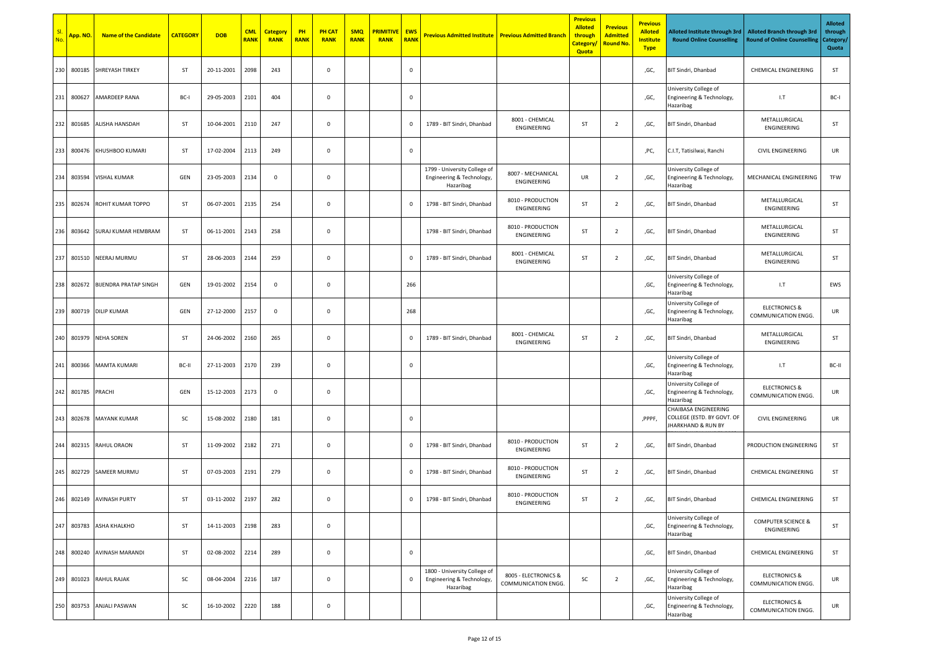|     | App. NO. | <b>Name of the Candidate</b> | <b>CATEGORY</b> | <b>DOB</b> | <b>CML</b><br><b>RANK</b> | <b>Category</b><br><b>RANK</b> | PH<br><b>RANK</b> | <b>PH CAT</b><br><b>RANK</b> | <b>SMQ</b><br><b>RANK</b> | <mark>PRIMITIVI</mark><br><b>RANK</b> | <b>EWS</b><br><b>RANK</b> | <b>Previous Admitted Institute   Previous Admitted Branch</b>          |                                             | <b>Previous</b><br><b>Alloted</b><br>through<br><b>Category</b><br>Quota | <b>Previous</b><br><b>Admitted</b><br><mark>Round No.</mark> | <b>Previous</b><br><b>Alloted</b><br><u>Institute</u><br><b>Type</b> | Alloted Institute through 3rd<br><b>Round Online Counselling</b>         | <b>Alloted Branch through 3rd</b><br><b>Round of Online Counselling</b> | <b>Alloted</b><br>through<br>Category/<br>Quota |
|-----|----------|------------------------------|-----------------|------------|---------------------------|--------------------------------|-------------------|------------------------------|---------------------------|---------------------------------------|---------------------------|------------------------------------------------------------------------|---------------------------------------------|--------------------------------------------------------------------------|--------------------------------------------------------------|----------------------------------------------------------------------|--------------------------------------------------------------------------|-------------------------------------------------------------------------|-------------------------------------------------|
| 230 | 800185   | <b>SHREYASH TIRKEY</b>       | <b>ST</b>       | 20-11-2001 | 2098                      | 243                            |                   | 0                            |                           |                                       | $\mathbf 0$               |                                                                        |                                             |                                                                          |                                                              | ,GC,                                                                 | BIT Sindri, Dhanbad                                                      | CHEMICAL ENGINEERING                                                    | ST                                              |
| 231 | 800627   | AMARDEEP RANA                | BC-I            | 29-05-2003 | 2101                      | 404                            |                   | 0                            |                           |                                       | $\mathbf 0$               |                                                                        |                                             |                                                                          |                                                              | ,GC,                                                                 | University College of<br>Engineering & Technology,<br>Hazaribag          | 1.7                                                                     | BC-I                                            |
| 232 | 801685   | ALISHA HANSDAH               | ST              | 10-04-2001 | 2110                      | 247                            |                   | 0                            |                           |                                       | $\mathbf 0$               | 1789 - BIT Sindri, Dhanbad                                             | 8001 - CHEMICAL<br>ENGINEERING              | ST                                                                       | $\overline{2}$                                               | ,GC,                                                                 | BIT Sindri, Dhanbad                                                      | METALLURGICAL<br>ENGINEERING                                            | ST                                              |
| 233 | 800476   | KHUSHBOO KUMARI              | ST              | 17-02-2004 | 2113                      | 249                            |                   | 0                            |                           |                                       | $\mathbf 0$               |                                                                        |                                             |                                                                          |                                                              | ,PC,                                                                 | C.I.T, Tatisilwai, Ranchi                                                | <b>CIVIL ENGINEERING</b>                                                | UR                                              |
| 234 | 803594   | VISHAL KUMAR                 | GEN             | 23-05-2003 | 2134                      | $\mathbf 0$                    |                   | 0                            |                           |                                       |                           | 1799 - University College of<br>Engineering & Technology,<br>Hazaribag | 8007 - MECHANICAL<br>ENGINEERING            | UR                                                                       | $\overline{2}$                                               | ,GC,                                                                 | University College of<br>Engineering & Technology,<br>Hazaribag          | MECHANICAL ENGINEERING                                                  | TFW                                             |
| 235 | 802674   | ROHIT KUMAR TOPPO            | <b>ST</b>       | 06-07-2001 | 2135                      | 254                            |                   | 0                            |                           |                                       | $\overline{0}$            | 1798 - BIT Sindri, Dhanbad                                             | 8010 - PRODUCTION<br>ENGINEERING            | ST                                                                       | $\overline{2}$                                               | ,GC,                                                                 | BIT Sindri, Dhanbad                                                      | METALLURGICAL<br>ENGINEERING                                            | ST                                              |
| 236 | 803642   | SURAJ KUMAR HEMBRAM          | ST              | 06-11-2001 | 2143                      | 258                            |                   | 0                            |                           |                                       |                           | 1798 - BIT Sindri, Dhanbad                                             | 8010 - PRODUCTION<br>ENGINEERING            | ST                                                                       | $\overline{2}$                                               | ,GC,                                                                 | BIT Sindri, Dhanbad                                                      | METALLURGICAL<br>ENGINEERING                                            | ST                                              |
| 237 | 801510   | NEERAJ MURMU                 | ST              | 28-06-2003 | 2144                      | 259                            |                   | $\mathsf 0$                  |                           |                                       | $\mathbf 0$               | 1789 - BIT Sindri, Dhanbad                                             | 8001 - CHEMICAL<br>ENGINEERING              | ST                                                                       | $\overline{2}$                                               | ,GC,                                                                 | BIT Sindri, Dhanbad                                                      | METALLURGICAL<br>ENGINEERING                                            | ST                                              |
| 238 | 802672   | <b>BIJENDRA PRATAP SINGH</b> | GEN             | 19-01-2002 | 2154                      | $\mathsf 0$                    |                   | $\mathsf 0$                  |                           |                                       | 266                       |                                                                        |                                             |                                                                          |                                                              | ,GC,                                                                 | University College of<br>Engineering & Technology,<br>Hazaribag          | 1.7                                                                     | EWS                                             |
| 239 | 800719   | <b>DILIP KUMAR</b>           | GEN             | 27-12-2000 | 2157                      | $\mathbf 0$                    |                   | $\mathsf 0$                  |                           |                                       | 268                       |                                                                        |                                             |                                                                          |                                                              | ,GC,                                                                 | University College of<br>Engineering & Technology,<br>Hazaribag          | <b>ELECTRONICS &amp;</b><br>COMMUNICATION ENGG.                         | UR                                              |
| 240 | 801979   | <b>NEHA SOREN</b>            | <b>ST</b>       | 24-06-2002 | 2160                      | 265                            |                   | 0                            |                           |                                       | $\mathbf 0$               | 1789 - BIT Sindri, Dhanbad                                             | 8001 - CHEMICAL<br>ENGINEERING              | ST                                                                       | $\overline{2}$                                               | ,GC,                                                                 | BIT Sindri, Dhanbad                                                      | METALLURGICAL<br>ENGINEERING                                            | ST                                              |
| 241 | 800366   | <b>MAMTA KUMARI</b>          | BC-II           | 27-11-2003 | 2170                      | 239                            |                   | 0                            |                           |                                       | $\mathbf 0$               |                                                                        |                                             |                                                                          |                                                              | ,GC,                                                                 | University College of<br>Engineering & Technology,<br>Hazaribag          | 1.7                                                                     | BC-II                                           |
| 242 | 801785   | PRACHI                       | GEN             | 15-12-2003 | 2173                      | $\mathbf 0$                    |                   | 0                            |                           |                                       |                           |                                                                        |                                             |                                                                          |                                                              | ,GC,                                                                 | University College of<br>Engineering & Technology,<br>Hazaribag          | <b>ELECTRONICS &amp;</b><br>COMMUNICATION ENGG.                         | UR                                              |
| 243 | 802678   | <b>MAYANK KUMAR</b>          | SC              | 15-08-2002 | 2180                      | 181                            |                   | $\mathsf 0$                  |                           |                                       | $\mathbf 0$               |                                                                        |                                             |                                                                          |                                                              | ,PPPF,                                                               | CHAIBASA ENGINEERING<br>COLLEGE (ESTD. BY GOVT. OF<br>JHARKHAND & RUN BY | <b>CIVIL ENGINEERING</b>                                                | UR                                              |
| 244 | 802315   | RAHUL ORAON                  | ST              | 11-09-2002 | 2182                      | 271                            |                   | 0                            |                           |                                       | $\mathbf 0$               | 1798 - BIT Sindri, Dhanbad                                             | 8010 - PRODUCTION<br>ENGINEERING            | ST                                                                       | $\overline{2}$                                               | ,GC,                                                                 | BIT Sindri, Dhanbad                                                      | PRODUCTION ENGINEERING                                                  | ST                                              |
| 245 | 802729   | SAMEER MURMU                 | <b>ST</b>       | 07-03-2003 | 2191                      | 279                            |                   | 0                            |                           |                                       | $\mathbf 0$               | 1798 - BIT Sindri, Dhanbad                                             | 8010 - PRODUCTION<br>ENGINEERING            | ST                                                                       | $\overline{2}$                                               | ,GC,                                                                 | <b>BIT Sindri, Dhanbad</b>                                               | CHEMICAL ENGINEERING                                                    | ST                                              |
|     |          | 246 802149 AVINASH PURTY     | ST              | 03-11-2002 | 2197                      | 282                            |                   | 0                            |                           |                                       | $\mathbf 0$               | 1798 - BIT Sindri, Dhanbad                                             | 8010 - PRODUCTION<br>ENGINEERING            | ST                                                                       | $\overline{2}$                                               | ,GC,                                                                 | BIT Sindri, Dhanbad                                                      | <b>CHEMICAL ENGINEERING</b>                                             | ST                                              |
| 247 | 803783   | <b>ASHA KHALKHO</b>          | ST              | 14-11-2003 | 2198                      | 283                            |                   | $\mathsf{O}\xspace$          |                           |                                       |                           |                                                                        |                                             |                                                                          |                                                              | ,GC,                                                                 | University College of<br>Engineering & Technology,<br>Hazaribag          | <b>COMPUTER SCIENCE &amp;</b><br>ENGINEERING                            | ST                                              |
| 248 | 800240   | AVINASH MARANDI              | ST              | 02-08-2002 | 2214                      | 289                            |                   | $\mathsf 0$                  |                           |                                       | $\mathbf 0$               |                                                                        |                                             |                                                                          |                                                              | ,GC,                                                                 | BIT Sindri, Dhanbad                                                      | <b>CHEMICAL ENGINEERING</b>                                             | <b>ST</b>                                       |
| 249 | 801023   | <b>RAHUL RAJAK</b>           | SC              | 08-04-2004 | 2216                      | 187                            |                   | $\mathsf 0$                  |                           |                                       | $\mathbf 0$               | 1800 - University College of<br>Engineering & Technology,<br>Hazaribag | 8005 - ELECTRONICS &<br>COMMUNICATION ENGG. | SC                                                                       | $\overline{2}$                                               | ,GC,                                                                 | University College of<br>Engineering & Technology,<br>Hazaribag          | <b>ELECTRONICS &amp;</b><br>COMMUNICATION ENGG.                         | UR                                              |
| 250 | 803753   | <b>ANJALI PASWAN</b>         | SC              | 16-10-2002 | 2220                      | 188                            |                   | $\mathsf 0$                  |                           |                                       |                           |                                                                        |                                             |                                                                          |                                                              | ,GC,                                                                 | University College of<br>Engineering & Technology,<br>Hazaribag          | <b>ELECTRONICS &amp;</b><br>COMMUNICATION ENGG.                         | UR                                              |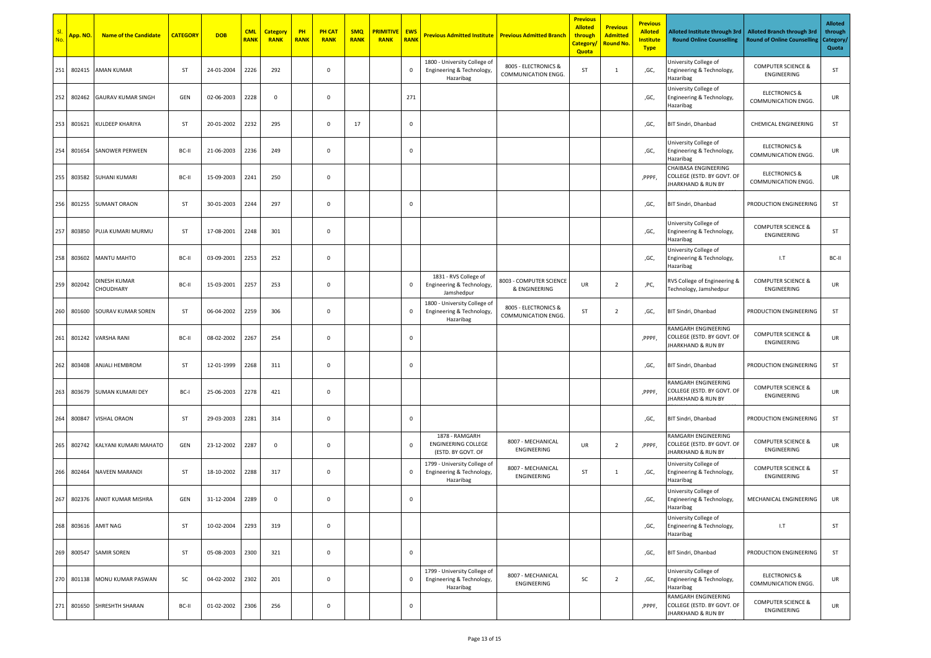| No. | <mark>App. NO.</mark> | <b>Name of the Candidate</b>     | <b>CATEGORY</b> | <b>DOB</b> | <b>CML</b><br><b>RANK</b> | <b>Category</b><br><b>RANK</b> | PH<br><b>RANK</b> | <b>PH CAT</b><br><b>RANK</b> | <b>SMQ</b><br><b>RANK</b> | <b>PRIMITIVE</b><br><b>RANK</b> | <b>EWS</b><br><b>RANK</b> | <b>Previous Admitted Institute</b>                                     | <b>Previous Admitted Branch</b>             | <b>Previous</b><br><b>Alloted</b><br>through<br><b>Category</b><br>Quota | <b>Previous</b><br><b>Admitted</b><br><b>Round No.</b> | <b>Previous</b><br><b>Alloted</b><br><b>Institute</b><br><b>Type</b> | Alloted Institute through 3rd<br><b>Round Online Counselling</b>                    | <b>Alloted Branch through 3rd</b><br><b>Round of Online Counselling</b> | <b>Alloted</b><br>through<br>Category/<br>Quota |
|-----|-----------------------|----------------------------------|-----------------|------------|---------------------------|--------------------------------|-------------------|------------------------------|---------------------------|---------------------------------|---------------------------|------------------------------------------------------------------------|---------------------------------------------|--------------------------------------------------------------------------|--------------------------------------------------------|----------------------------------------------------------------------|-------------------------------------------------------------------------------------|-------------------------------------------------------------------------|-------------------------------------------------|
| 251 | 802415                | <b>AMAN KUMAR</b>                | ST              | 24-01-2004 | 2226                      | 292                            |                   | $\mathbf 0$                  |                           |                                 | $\mathbf 0$               | 1800 - University College of<br>Engineering & Technology<br>Hazaribag  | 8005 - ELECTRONICS &<br>COMMUNICATION ENGG. | ST                                                                       | 1                                                      | ,GC,                                                                 | University College of<br>Engineering & Technology,<br>Hazaribag                     | <b>COMPUTER SCIENCE &amp;</b><br>ENGINEERING                            | ST                                              |
| 252 | 802462                | <b>GAURAV KUMAR SINGH</b>        | GEN             | 02-06-2003 | 2228                      | $\mathbf 0$                    |                   | $\mathbf 0$                  |                           |                                 | 271                       |                                                                        |                                             |                                                                          |                                                        | ,GC,                                                                 | University College of<br>Engineering & Technology,<br>Hazaribag                     | <b>ELECTRONICS &amp;</b><br>COMMUNICATION ENGG.                         | UR                                              |
| 253 | 801621                | KULDEEP KHARIYA                  | <b>ST</b>       | 20-01-2002 | 2232                      | 295                            |                   | $\mathbf 0$                  | 17                        |                                 | $\mathbf 0$               |                                                                        |                                             |                                                                          |                                                        | ,GC,                                                                 | BIT Sindri, Dhanbad                                                                 | <b>CHEMICAL ENGINEERING</b>                                             | ST                                              |
| 254 | 801654                | <b>SANOWER PERWEEN</b>           | BC-II           | 21-06-2003 | 2236                      | 249                            |                   | $\mathbf 0$                  |                           |                                 | $\mathbf 0$               |                                                                        |                                             |                                                                          |                                                        | ,GC,                                                                 | University College of<br>Engineering & Technology,<br>Hazaribag                     | <b>ELECTRONICS &amp;</b><br>COMMUNICATION ENGG.                         | UR                                              |
| 255 | 803582                | <b>SUHANI KUMARI</b>             | BC-II           | 15-09-2003 | 2241                      | 250                            |                   | $\mathbf 0$                  |                           |                                 |                           |                                                                        |                                             |                                                                          |                                                        | ,PPPF,                                                               | CHAIBASA ENGINEERING<br>COLLEGE (ESTD. BY GOVT. OF<br><b>IHARKHAND &amp; RUN BY</b> | <b>ELECTRONICS &amp;</b><br>COMMUNICATION ENGG.                         | UR                                              |
| 256 | 801255                | <b>SUMANT ORAON</b>              | <b>ST</b>       | 30-01-2003 | 2244                      | 297                            |                   | $\mathbf 0$                  |                           |                                 | $\mathbf 0$               |                                                                        |                                             |                                                                          |                                                        | ,GC,                                                                 | BIT Sindri, Dhanbad                                                                 | PRODUCTION ENGINEERING                                                  | ST                                              |
| 257 | 803850                | PUJA KUMARI MURMU                | ST              | 17-08-2001 | 2248                      | 301                            |                   | $\mathbf 0$                  |                           |                                 |                           |                                                                        |                                             |                                                                          |                                                        | ,GC,                                                                 | University College of<br>Engineering & Technology,<br>Hazaribag                     | <b>COMPUTER SCIENCE &amp;</b><br>ENGINEERING                            | ST                                              |
| 258 | 803602                | MANTU MAHTO                      | BC-II           | 03-09-2001 | 2253                      | 252                            |                   | $\mathbf 0$                  |                           |                                 |                           |                                                                        |                                             |                                                                          |                                                        | ,GC,                                                                 | University College of<br>Engineering & Technology,<br>Hazaribag                     | 1.7                                                                     | BC-II                                           |
| 259 | 802042                | DINESH KUMAR<br><b>CHOUDHARY</b> | BC-II           | 15-03-2001 | 2257                      | 253                            |                   | $\mathbf 0$                  |                           |                                 | $\,0\,$                   | 1831 - RVS College of<br>Engineering & Technology,<br>Jamshedpur       | 8003 - COMPUTER SCIENCE<br>& ENGINEERING    | UR                                                                       | $\overline{2}$                                         | ,PC,                                                                 | RVS College of Engineering &<br>Technology, Jamshedpur                              | <b>COMPUTER SCIENCE &amp;</b><br>ENGINEERING                            | UR                                              |
| 260 | 801600                | SOURAV KUMAR SOREN               | ST              | 06-04-2002 | 2259                      | 306                            |                   | $\mathbf 0$                  |                           |                                 | $\,0\,$                   | 1800 - University College of<br>Engineering & Technology,<br>Hazaribag | 8005 - ELECTRONICS &<br>COMMUNICATION ENGG. | ST                                                                       | $\overline{2}$                                         | ,GC,                                                                 | BIT Sindri, Dhanbad                                                                 | PRODUCTION ENGINEERING                                                  | ST                                              |
| 261 | 801242                | <b>VARSHA RANI</b>               | BC-II           | 08-02-2002 | 2267                      | 254                            |                   | $\mathbf 0$                  |                           |                                 | $\mathbf 0$               |                                                                        |                                             |                                                                          |                                                        | ,PPPF,                                                               | RAMGARH ENGINEERING<br>COLLEGE (ESTD. BY GOVT. OF<br><b>IHARKHAND &amp; RUN BY</b>  | <b>COMPUTER SCIENCE &amp;</b><br>ENGINEERING                            | UR                                              |
| 262 | 803408                | <b>ANJALI HEMBROM</b>            | <b>ST</b>       | 12-01-1999 | 2268                      | 311                            |                   | $\mathbf 0$                  |                           |                                 | $\mathbf 0$               |                                                                        |                                             |                                                                          |                                                        | ,GC,                                                                 | BIT Sindri, Dhanbad                                                                 | PRODUCTION ENGINEERING                                                  | ST                                              |
| 263 | 803679                | <b>SUMAN KUMARI DEY</b>          | BC-I            | 25-06-2003 | 2278                      | 421                            |                   | $\mathbf 0$                  |                           |                                 |                           |                                                                        |                                             |                                                                          |                                                        | ,PPPF,                                                               | RAMGARH ENGINEERING<br>COLLEGE (ESTD. BY GOVT. OF<br><b>JHARKHAND &amp; RUN BY</b>  | <b>COMPUTER SCIENCE &amp;</b><br>ENGINEERING                            | UR                                              |
| 264 | 800847                | <b>VISHAL ORAON</b>              | <b>ST</b>       | 29-03-2003 | 2281                      | 314                            |                   | $\mathbf 0$                  |                           |                                 | $\mathbf 0$               |                                                                        |                                             |                                                                          |                                                        | ,GC,                                                                 | BIT Sindri, Dhanbad                                                                 | PRODUCTION ENGINEERING                                                  | ST                                              |
| 265 | 802742                | KALYANI KUMARI MAHATO            | GEN             | 23-12-2002 | 2287                      | $\mathbf 0$                    |                   | $\mathbf 0$                  |                           |                                 | $\mathbf 0$               | 1878 - RAMGARH<br><b>ENGINEERING COLLEGE</b><br>(ESTD. BY GOVT. OF     | 8007 - MECHANICAL<br>ENGINEERING            | UR                                                                       | $\overline{2}$                                         | ,PPPF.                                                               | RAMGARH ENGINEERING<br>COLLEGE (ESTD. BY GOVT. OF<br><b>IHARKHAND &amp; RUN BY</b>  | <b>COMPUTER SCIENCE &amp;</b><br>ENGINEERING                            | UR                                              |
| 266 | 802464                | <b>NAVEEN MARANDI</b>            | <b>ST</b>       | 18-10-2002 | 2288                      | 317                            |                   | $\mathbf 0$                  |                           |                                 | $\mathbf 0$               | 1799 - University College of<br>Engineering & Technology,<br>Hazaribag | 8007 - MECHANICAL<br>ENGINEERING            | ST                                                                       | 1                                                      | ,GC,                                                                 | University College of<br>Engineering & Technology,<br>Hazaribag                     | <b>COMPUTER SCIENCE &amp;</b><br>ENGINEERING                            | ST                                              |
| 267 |                       | 802376 ANKIT KUMAR MISHRA        | GEN             | 31-12-2004 | 2289                      | 0                              |                   | $\mathbf 0$                  |                           |                                 | $\mathbf 0$               |                                                                        |                                             |                                                                          |                                                        | ,GC,                                                                 | University College of<br>Engineering & Technology,<br>Hazaribag                     | MECHANICAL ENGINEERING                                                  | UR                                              |
| 268 | 803616                | <b>AMIT NAG</b>                  | ST              | 10-02-2004 | 2293                      | 319                            |                   | $\mathbf 0$                  |                           |                                 |                           |                                                                        |                                             |                                                                          |                                                        | ,GC,                                                                 | University College of<br>Engineering & Technology,<br>Hazaribag                     | 1.7                                                                     | ST                                              |
| 269 |                       | 800547 SAMIR SOREN               | ST              | 05-08-2003 | 2300                      | 321                            |                   | $\mathbf 0$                  |                           |                                 | $\mathbf{0}$              |                                                                        |                                             |                                                                          |                                                        | ,GC,                                                                 | BIT Sindri, Dhanbad                                                                 | PRODUCTION ENGINEERING                                                  | ST                                              |
|     |                       | 270 801138 MONU KUMAR PASWAN     | SC              | 04-02-2002 | 2302                      | 201                            |                   | $\mathbf 0$                  |                           |                                 | $\,0\,$                   | 1799 - University College of<br>Engineering & Technology,<br>Hazaribag | 8007 - MECHANICAL<br>ENGINEERING            | SC                                                                       | $\overline{2}$                                         | ,GC,                                                                 | University College of<br>Engineering & Technology,<br>Hazaribag                     | <b>ELECTRONICS &amp;</b><br>COMMUNICATION ENGG.                         | UR                                              |
| 271 |                       | 801650 SHRESHTH SHARAN           | BC-II           | 01-02-2002 | 2306                      | 256                            |                   | $\mathbf 0$                  |                           |                                 | $\mathbf{0}$              |                                                                        |                                             |                                                                          |                                                        | ,PPPF,                                                               | RAMGARH ENGINEERING<br>COLLEGE (ESTD. BY GOVT. OF<br><b>IHARKHAND &amp; RUN BY</b>  | <b>COMPUTER SCIENCE &amp;</b><br>ENGINEERING                            | UR                                              |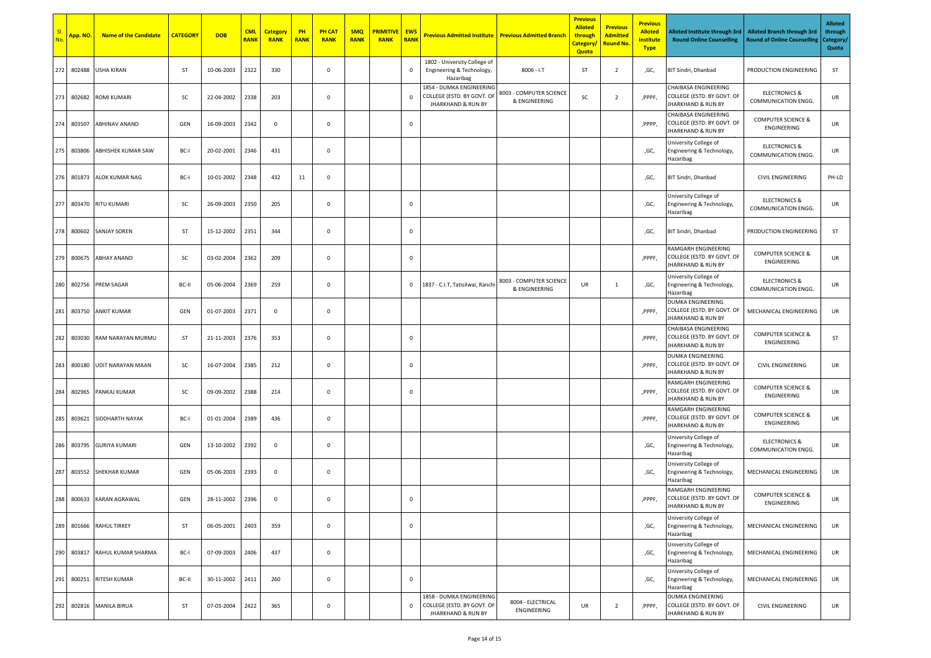| No. | <mark>App. NO.</mark> | <b>Name of the Candidate</b> | <b>CATEGORY</b> | <b>DOB</b> | <b>CML</b><br><b>RANK</b> | <b>Category</b><br><b>RANK</b> | PH<br><b>RANK</b> | <b>PH CAT</b><br><b>RANK</b> | <b>SMQ</b><br><b>RANK</b> | <b>PRIMITIVE</b><br><b>RANK</b> | <b>EWS</b><br><b>RANK</b> | <b>Previous Admitted Institute</b>                                                      | <b>Previous Admitted Branch</b>          | <b>Previous</b><br><b>Alloted</b><br>through<br><b>Category</b><br>Quota | <b>Previous</b><br><b>Admitted</b><br><b>Round No.</b> | <b>Previous</b><br><b>Alloted</b><br><b>Institute</b><br><b>Type</b> | Alloted Institute through 3rd<br><b>Round Online Counselling</b>                    | <b>Alloted Branch through 3rd</b><br><b>Round of Online Counselling</b> | <b>Alloted</b><br>through<br>Category/<br>Quota |
|-----|-----------------------|------------------------------|-----------------|------------|---------------------------|--------------------------------|-------------------|------------------------------|---------------------------|---------------------------------|---------------------------|-----------------------------------------------------------------------------------------|------------------------------------------|--------------------------------------------------------------------------|--------------------------------------------------------|----------------------------------------------------------------------|-------------------------------------------------------------------------------------|-------------------------------------------------------------------------|-------------------------------------------------|
| 272 | 802488                | USHA KIRAN                   | ST              | 10-06-2003 | 2322                      | 330                            |                   | $\mathbf 0$                  |                           |                                 | $\mathbf 0$               | 1802 - University College of<br>Engineering & Technology,<br>Hazaribag                  | $8006 - I.T$                             | ST                                                                       | $\overline{2}$                                         | ,GC,                                                                 | BIT Sindri, Dhanbad                                                                 | PRODUCTION ENGINEERING                                                  | ST                                              |
| 273 | 802682                | <b>ROMI KUMARI</b>           | SC              | 22-04-2002 | 2338                      | 203                            |                   | $\mathbf 0$                  |                           |                                 | $\Omega$                  | 1854 - DUMKA ENGINEERING<br>COLLEGE (ESTD. BY GOVT. OF<br><b>JHARKHAND &amp; RUN BY</b> | 8003 - COMPUTER SCIENCE<br>& ENGINEERING | SC                                                                       | $\overline{2}$                                         | ,PPPF,                                                               | CHAIBASA ENGINEERING<br>COLLEGE (ESTD. BY GOVT. OF<br><b>IHARKHAND &amp; RUN BY</b> | <b>ELECTRONICS &amp;</b><br>COMMUNICATION ENGG.                         | UR                                              |
| 274 | 803507                | <b>ABHINAV ANAND</b>         | GEN             | 16-09-2003 | 2342                      | $\mathbf 0$                    |                   | $\mathbf 0$                  |                           |                                 | $\mathbf 0$               |                                                                                         |                                          |                                                                          |                                                        | ,PPPP.                                                               | CHAIBASA ENGINEERING<br>COLLEGE (ESTD. BY GOVT. OF<br><b>IHARKHAND &amp; RUN BY</b> | <b>COMPUTER SCIENCE &amp;</b><br>ENGINEERING                            | UR                                              |
| 275 | 803806                | ABHISHEK KUMAR SAW           | BC-I            | 20-02-2001 | 2346                      | 431                            |                   | $\mathbf 0$                  |                           |                                 |                           |                                                                                         |                                          |                                                                          |                                                        | ,GC,                                                                 | University College of<br>Engineering & Technology,<br>Hazaribag                     | <b>ELECTRONICS &amp;</b><br>COMMUNICATION ENGG.                         | UR                                              |
|     | 276 801873            | ALOK KUMAR NAG               | BC-I            | 10-01-2002 | 2348                      | 432                            | 11                | $\mathbf 0$                  |                           |                                 |                           |                                                                                         |                                          |                                                                          |                                                        | ,GC,                                                                 | BIT Sindri, Dhanbad                                                                 | <b>CIVIL ENGINEERING</b>                                                | PH-LD                                           |
| 277 | 803470                | <b>RITU KUMARI</b>           | SC              | 26-09-2003 | 2350                      | 205                            |                   | $\mathbf 0$                  |                           |                                 | $\mathbf 0$               |                                                                                         |                                          |                                                                          |                                                        | ,GC,                                                                 | University College of<br>Engineering & Technology,<br>Hazaribag                     | <b>ELECTRONICS &amp;</b><br>COMMUNICATION ENGG.                         | UR                                              |
|     | 278 800602            | <b>SANJAY SOREN</b>          | ST              | 15-12-2002 | 2351                      | 344                            |                   | $\mathbf 0$                  |                           |                                 | $\mathbf 0$               |                                                                                         |                                          |                                                                          |                                                        | ,GC,                                                                 | BIT Sindri, Dhanbad                                                                 | PRODUCTION ENGINEERING                                                  | ST                                              |
| 279 | 800675                | <b>ABHAY ANAND</b>           | SC              | 03-02-2004 | 2362                      | 209                            |                   | $\mathbf 0$                  |                           |                                 | $\mathbf 0$               |                                                                                         |                                          |                                                                          |                                                        | ,PPPF.                                                               | RAMGARH ENGINEERING<br>COLLEGE (ESTD. BY GOVT. OF<br><b>IHARKHAND &amp; RUN BY</b>  | <b>COMPUTER SCIENCE &amp;</b><br>ENGINEERING                            | UR                                              |
| 280 | 802756                | PREM SAGAR                   | BC-II           | 05-06-2004 | 2369                      | 259                            |                   | $\mathbf 0$                  |                           |                                 | $\mathbf 0$               | 1837 - C.I.T, Tatisilwai, Ranch                                                         | 8003 - COMPUTER SCIENCE<br>& ENGINEERING | UR                                                                       | $\mathbf{1}$                                           | ,GC,                                                                 | University College of<br>Engineering & Technology,<br>Hazaribag                     | <b>ELECTRONICS &amp;</b><br>COMMUNICATION ENGG.                         | UR                                              |
| 281 | 803750                | <b>ANKIT KUMAR</b>           | GEN             | 01-07-2003 | 2371                      | $\mathsf 0$                    |                   | $\mathbf 0$                  |                           |                                 |                           |                                                                                         |                                          |                                                                          |                                                        | ,PPPF,                                                               | DUMKA ENGINEERING<br>COLLEGE (ESTD. BY GOVT. OF<br><b>IHARKHAND &amp; RUN BY</b>    | MECHANICAL ENGINEERING                                                  | UR                                              |
| 282 | 803030                | RAM NARAYAN MURMU            | ST              | 21-11-2003 | 2376                      | 353                            |                   | 0                            |                           |                                 | $\mathbf 0$               |                                                                                         |                                          |                                                                          |                                                        | ,PPPF,                                                               | CHAIBASA ENGINEERING<br>COLLEGE (ESTD. BY GOVT. OF<br><b>JHARKHAND &amp; RUN BY</b> | <b>COMPUTER SCIENCE &amp;</b><br>ENGINEERING                            | ST                                              |
| 283 | 800180                | UDIT NARAYAN MAAN            | SC              | 16-07-2004 | 2385                      | 212                            |                   | $\mathbf 0$                  |                           |                                 | $\mathbf 0$               |                                                                                         |                                          |                                                                          |                                                        | ,PPPF,                                                               | DUMKA ENGINEERING<br>COLLEGE (ESTD. BY GOVT. OF<br><b>JHARKHAND &amp; RUN BY</b>    | <b>CIVIL ENGINEERING</b>                                                | UR                                              |
| 284 | 802965                | PANKAJ KUMAR                 | SC              | 09-09-2002 | 2388                      | 214                            |                   | $\mathbf 0$                  |                           |                                 | $\mathbf 0$               |                                                                                         |                                          |                                                                          |                                                        | ,PPPF,                                                               | RAMGARH ENGINEERING<br>COLLEGE (ESTD. BY GOVT. OF<br>JHARKHAND & RUN BY             | <b>COMPUTER SCIENCE &amp;</b><br>ENGINEERING                            | UR                                              |
| 285 |                       | 803621 SIDDHARTH NAYAK       | BC-I            | 01-01-2004 | 2389                      | 436                            |                   | $\mathbf 0$                  |                           |                                 |                           |                                                                                         |                                          |                                                                          |                                                        | ,PPPF,                                                               | RAMGARH ENGINEERING<br>COLLEGE (ESTD. BY GOVT. OF<br><b>IHARKHAND &amp; RUN BY</b>  | <b>COMPUTER SCIENCE &amp;</b><br>ENGINEERING                            | UR                                              |
| 286 | 803795                | <b>GURIYA KUMARI</b>         | GEN             | 13-10-2002 | 2392                      | $\mathbf 0$                    |                   | $\mathbf 0$                  |                           |                                 |                           |                                                                                         |                                          |                                                                          |                                                        | ,GC,                                                                 | University College of<br>Engineering & Technology,<br>Hazaribag                     | <b>ELECTRONICS &amp;</b><br>COMMUNICATION ENGG.                         | UR                                              |
| 287 | 803552                | <b>SHEKHAR KUMAR</b>         | GEN             | 05-06-2003 | 2393                      | $\mathbf 0$                    |                   | $\mathbf 0$                  |                           |                                 |                           |                                                                                         |                                          |                                                                          |                                                        | ,GC,                                                                 | University College of<br>Engineering & Technology,<br>Hazaribag                     | MECHANICAL ENGINEERING                                                  | UR                                              |
| 288 |                       | 800633 KARAN AGRAWAL         | GEN             | 28-11-2002 | 2396                      | 0                              |                   | $\mathbf 0$                  |                           |                                 | $\mathbf 0$               |                                                                                         |                                          |                                                                          |                                                        | ,PPPF,                                                               | RAMGARH ENGINEERING<br>COLLEGE (ESTD. BY GOVT. OF<br>JHARKHAND & RUN BY             | <b>COMPUTER SCIENCE &amp;</b><br>ENGINEERING                            | UR                                              |
| 289 | 801666                | <b>RAHUL TIRKEY</b>          | ST              | 06-05-2001 | 2403                      | 359                            |                   | $\mathbf 0$                  |                           |                                 | $\mathbf 0$               |                                                                                         |                                          |                                                                          |                                                        | ,GC,                                                                 | University College of<br>Engineering & Technology,<br>Hazaribag                     | MECHANICAL ENGINEERING                                                  | UR                                              |
| 290 | 803817                | RAHUL KUMAR SHARMA           | BC-I            | 07-09-2003 | 2406                      | 437                            |                   | $\mathbf 0$                  |                           |                                 |                           |                                                                                         |                                          |                                                                          |                                                        | ,GC,                                                                 | University College of<br>Engineering & Technology,<br>Hazaribag                     | MECHANICAL ENGINEERING                                                  | UR                                              |
| 291 | 800251                | RITESH KUMAR                 | BC-II           | 30-11-2002 | 2411                      | 260                            |                   | $\mathbf 0$                  |                           |                                 | $\mathbf 0$               |                                                                                         |                                          |                                                                          |                                                        | ,GC,                                                                 | University College of<br>Engineering & Technology,<br>Hazaribag                     | MECHANICAL ENGINEERING                                                  | UR                                              |
| 292 |                       | 802816 MANILA BIRUA          | ST              | 07-03-2004 | 2422                      | 365                            |                   | $\mathbf 0$                  |                           |                                 | $\mathbf 0$               | 1858 - DUMKA ENGINEERING<br>COLLEGE (ESTD. BY GOVT. OF<br><b>JHARKHAND &amp; RUN BY</b> | 8004 - ELECTRICAL<br>ENGINEERING         | UR                                                                       | $\overline{2}$                                         | ,PPPF,                                                               | DUMKA ENGINEERING<br>COLLEGE (ESTD. BY GOVT. OF<br><b>IHARKHAND &amp; RUN BY</b>    | CIVIL ENGINEERING                                                       | UR                                              |